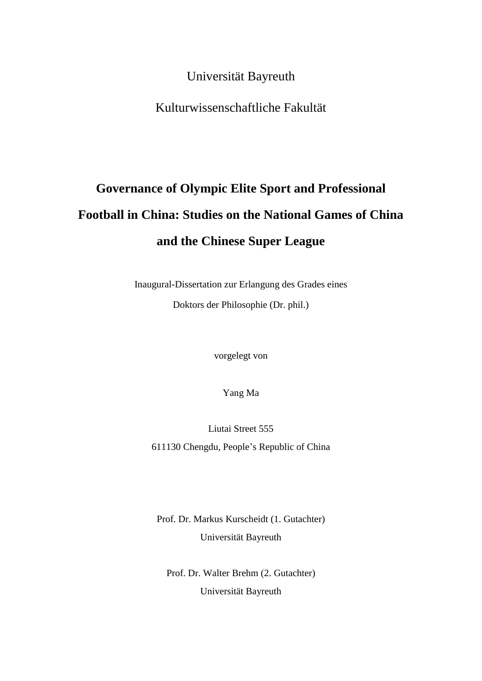Universität Bayreuth

Kulturwissenschaftliche Fakultät

# **Governance of Olympic Elite Sport and Professional Football in China: Studies on the National Games of China and the Chinese Super League**

Inaugural-Dissertation zur Erlangung des Grades eines Doktors der Philosophie (Dr. phil.)

vorgelegt von

Yang Ma

Liutai Street 555 611130 Chengdu, People's Republic of China

Prof. Dr. Markus Kurscheidt (1. Gutachter) Universität Bayreuth

Prof. Dr. Walter Brehm (2. Gutachter) Universität Bayreuth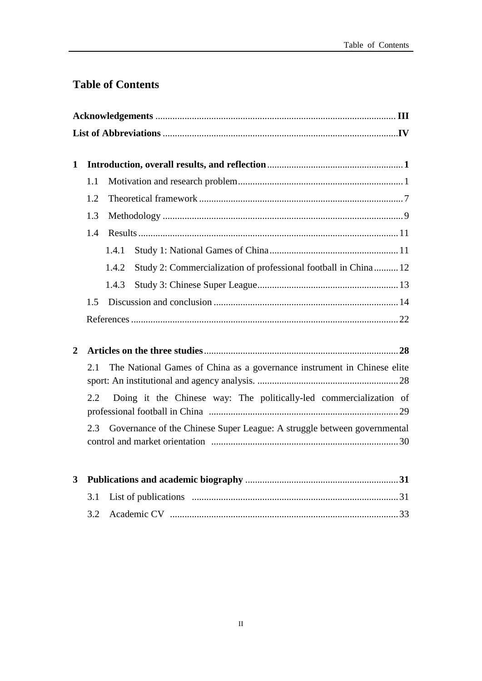# **Table of Contents**

| $\mathbf{1}$   |     |                                                                          |  |
|----------------|-----|--------------------------------------------------------------------------|--|
|                | 1.1 |                                                                          |  |
|                |     |                                                                          |  |
|                | 1.2 |                                                                          |  |
|                | 1.3 |                                                                          |  |
|                | 1.4 |                                                                          |  |
|                |     | 1.4.1                                                                    |  |
|                |     | Study 2: Commercialization of professional football in China 12<br>1.4.2 |  |
|                |     | 1.4.3                                                                    |  |
|                | 1.5 |                                                                          |  |
|                |     |                                                                          |  |
| $\overline{2}$ |     |                                                                          |  |
|                | 2.1 | The National Games of China as a governance instrument in Chinese elite  |  |
|                |     |                                                                          |  |
|                | 2.2 | Doing it the Chinese way: The politically-led commercialization of       |  |
|                | 2.3 | Governance of the Chinese Super League: A struggle between governmental  |  |
| 3              |     |                                                                          |  |
|                | 3.1 |                                                                          |  |
|                |     |                                                                          |  |
|                | 3.2 |                                                                          |  |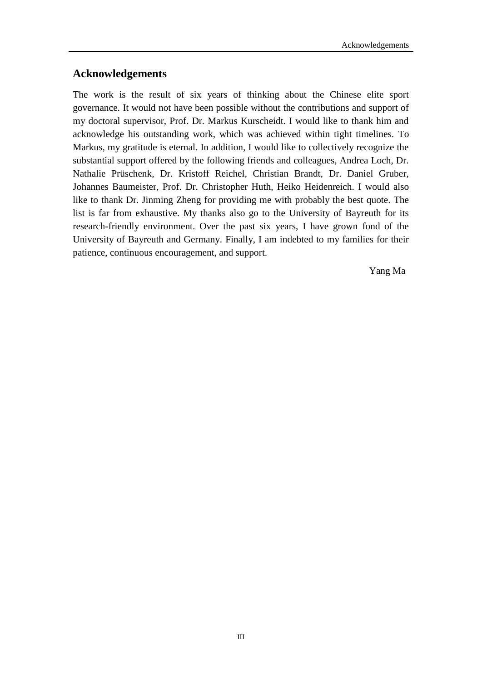# **Acknowledgements**

The work is the result of six years of thinking about the Chinese elite sport governance. It would not have been possible without the contributions and support of my doctoral supervisor, Prof. Dr. Markus Kurscheidt. I would like to thank him and acknowledge his outstanding work, which was achieved within tight timelines. To Markus, my gratitude is eternal. In addition, I would like to collectively recognize the substantial support offered by the following friends and colleagues, Andrea Loch, Dr. Nathalie [Prüschenk,](https://www.spowi2.uni-bayreuth.de/en/team/nathalie-prueschenk/index.php) Dr. Kristoff Reichel, Christian Brandt, Dr. Daniel Gruber, Johannes Baumeister, Prof. Dr. Christopher Huth, Heiko Heidenreich. I would also like to thank Dr. Jinming Zheng for providing me with probably the best quote. The list is far from exhaustive. My thanks also go to the University of Bayreuth for its research-friendly environment. Over the past six years, I have grown fond of the University of Bayreuth and Germany. Finally, I am indebted to my families for their patience, continuous encouragement, and support.

Yang Ma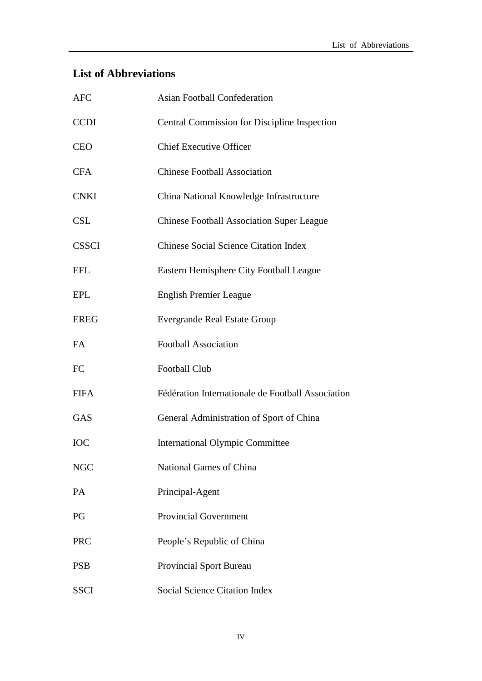# **List of Abbreviations**

| <b>AFC</b>   | <b>Asian Football Confederation</b>               |
|--------------|---------------------------------------------------|
| <b>CCDI</b>  | Central Commission for Discipline Inspection      |
| <b>CEO</b>   | <b>Chief Executive Officer</b>                    |
| <b>CFA</b>   | <b>Chinese Football Association</b>               |
| <b>CNKI</b>  | China National Knowledge Infrastructure           |
| <b>CSL</b>   | <b>Chinese Football Association Super League</b>  |
| <b>CSSCI</b> | <b>Chinese Social Science Citation Index</b>      |
| <b>EFL</b>   | Eastern Hemisphere City Football League           |
| <b>EPL</b>   | <b>English Premier League</b>                     |
| <b>EREG</b>  | <b>Evergrande Real Estate Group</b>               |
| <b>FA</b>    | <b>Football Association</b>                       |
| <b>FC</b>    | <b>Football Club</b>                              |
| <b>FIFA</b>  | Fédération Internationale de Football Association |
| <b>GAS</b>   | General Administration of Sport of China          |
| <b>IOC</b>   | <b>International Olympic Committee</b>            |
| <b>NGC</b>   | National Games of China                           |
| PA           | Principal-Agent                                   |
| PG           | <b>Provincial Government</b>                      |
| <b>PRC</b>   | People's Republic of China                        |
| <b>PSB</b>   | <b>Provincial Sport Bureau</b>                    |
| <b>SSCI</b>  | <b>Social Science Citation Index</b>              |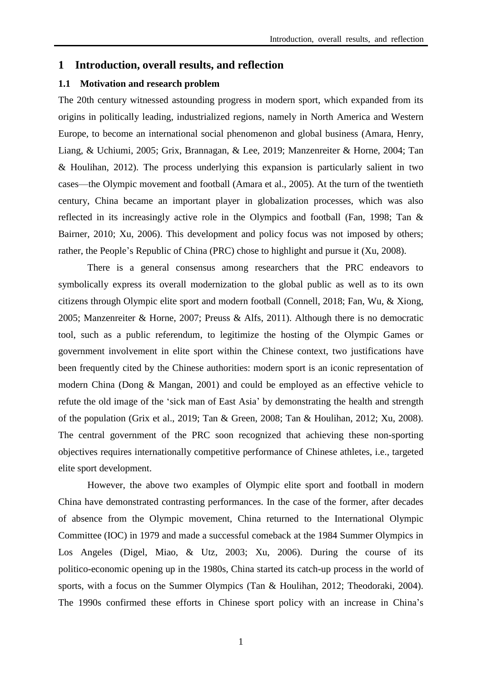# **1 Introduction, overall results, and reflection**

# **1.1 Motivation and research problem**

The 20th century witnessed astounding progress in modern sport, which expanded from its origins in politically leading, industrialized regions, namely in North America and Western Europe, to become an international social phenomenon and global business (Amara, Henry, Liang, & Uchiumi, 2005; Grix, Brannagan, & Lee, 2019; Manzenreiter & Horne, 2004; Tan & Houlihan, 2012). The process underlying this expansion is particularly salient in two cases—the Olympic movement and football (Amara et al., 2005). At the turn of the twentieth century, China became an important player in globalization processes, which was also reflected in its increasingly active role in the Olympics and football (Fan, 1998; Tan & Bairner, 2010; Xu, 2006). This development and policy focus was not imposed by others; rather, the People's Republic of China (PRC) chose to highlight and pursue it (Xu, 2008).

There is a general consensus among researchers that the PRC endeavors to symbolically express its overall modernization to the global public as well as to its own citizens through Olympic elite sport and modern football (Connell, 2018; Fan, Wu, & Xiong, 2005; Manzenreiter & Horne, 2007; Preuss & Alfs, 2011). Although there is no democratic tool, such as a public referendum, to legitimize the hosting of the Olympic Games or government involvement in elite sport within the Chinese context, two justifications have been frequently cited by the Chinese authorities: modern sport is an iconic representation of modern China (Dong & Mangan, 2001) and could be employed as an effective vehicle to refute the old image of the 'sick man of East Asia' by demonstrating the health and strength of the population (Grix et al., 2019; Tan & Green, 2008; Tan & Houlihan, 2012; Xu, 2008). The central government of the PRC soon recognized that achieving these non-sporting objectives requires internationally competitive performance of Chinese athletes, i.e., targeted elite sport development.

However, the above two examples of Olympic elite sport and football in modern China have demonstrated contrasting performances. In the case of the former, after decades of absence from the Olympic movement, China returned to the International Olympic Committee (IOC) in 1979 and made a successful comeback at the 1984 Summer Olympics in Los Angeles (Digel, Miao, & Utz, 2003; Xu, 2006). During the course of its politico-economic opening up in the 1980s, China started its catch-up process in the world of sports, with a focus on the Summer Olympics (Tan & Houlihan, 2012; Theodoraki, 2004). The 1990s confirmed these efforts in Chinese sport policy with an increase in China's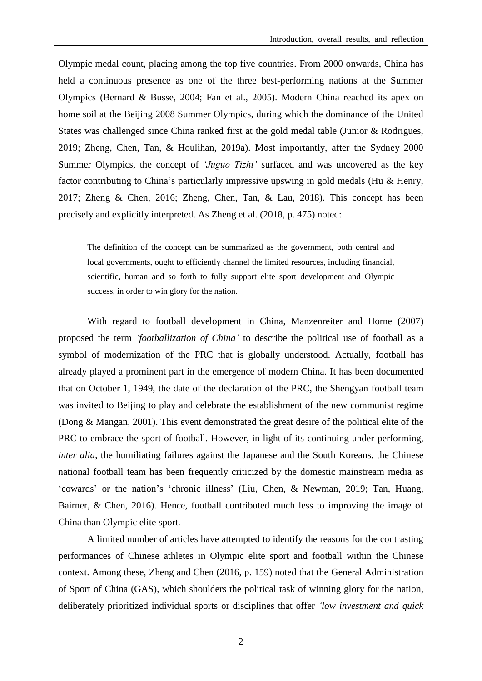Olympic medal count, placing among the top five countries. From 2000 onwards, China has held a continuous presence as one of the three best-performing nations at the Summer Olympics (Bernard & Busse, 2004; Fan et al., 2005). Modern China reached its apex on home soil at the Beijing 2008 Summer Olympics, during which the dominance of the United States was challenged since China ranked first at the gold medal table (Junior & Rodrigues, 2019; Zheng, Chen, Tan, & Houlihan, 2019a). Most importantly, after the Sydney 2000 Summer Olympics, the concept of *'Juguo Tizhi'* surfaced and was uncovered as the key factor contributing to China's particularly impressive upswing in gold medals (Hu & Henry, 2017; Zheng & Chen, 2016; Zheng, Chen, Tan, & Lau, 2018). This concept has been precisely and explicitly interpreted. As Zheng et al. (2018, p. 475) noted:

The definition of the concept can be summarized as the government, both central and local governments, ought to efficiently channel the limited resources, including financial, scientific, human and so forth to fully support elite sport development and Olympic success, in order to win glory for the nation.

 With regard to football development in China, Manzenreiter and Horne (2007) proposed the term *'footballization of China'* to describe the political use of football as a symbol of modernization of the PRC that is globally understood. Actually, football has already played a prominent part in the emergence of modern China. It has been documented that on October 1, 1949, the date of the declaration of the PRC, the Shengyan football team was invited to Beijing to play and celebrate the establishment of the new communist regime (Dong & Mangan, 2001). This event demonstrated the great desire of the political elite of the PRC to embrace the sport of football. However, in light of its continuing under-performing, *inter alia*, the humiliating failures against the Japanese and the South Koreans, the Chinese national football team has been frequently criticized by the domestic mainstream media as 'cowards' or the nation's 'chronic illness' (Liu, Chen, & Newman, 2019; Tan, Huang, Bairner, & Chen, 2016). Hence, football contributed much less to improving the image of China than Olympic elite sport.

 A limited number of articles have attempted to identify the reasons for the contrasting performances of Chinese athletes in Olympic elite sport and football within the Chinese context. Among these, Zheng and Chen (2016, p. 159) noted that the General Administration of Sport of China (GAS), which shoulders the political task of winning glory for the nation, deliberately prioritized individual sports or disciplines that offer *'low investment and quick*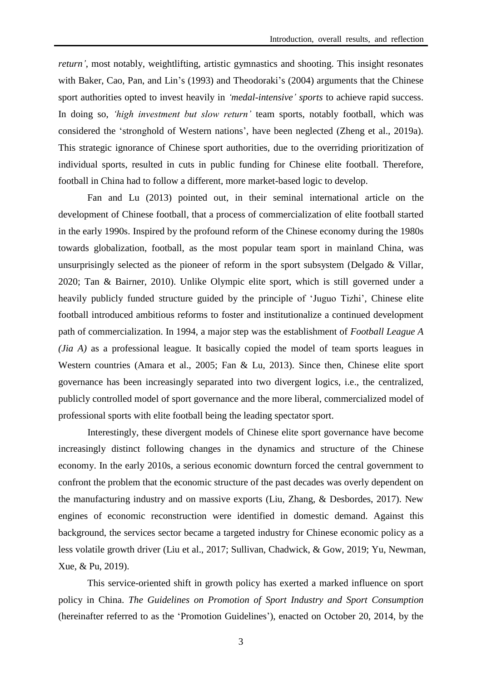*return'*, most notably, weightlifting, artistic gymnastics and shooting. This insight resonates with Baker, Cao, Pan, and Lin's (1993) and Theodoraki's (2004) arguments that the Chinese sport authorities opted to invest heavily in *'medal-intensive' sports* to achieve rapid success. In doing so, *'high investment but slow return'* team sports, notably football, which was considered the 'stronghold of Western nations', have been neglected (Zheng et al., 2019a). This strategic ignorance of Chinese sport authorities, due to the overriding prioritization of individual sports, resulted in cuts in public funding for Chinese elite football. Therefore, football in China had to follow a different, more market-based logic to develop.

 Fan and Lu (2013) pointed out, in their seminal international article on the development of Chinese football, that a process of commercialization of elite football started in the early 1990s. Inspired by the profound reform of the Chinese economy during the 1980s towards globalization, football, as the most popular team sport in mainland China, was unsurprisingly selected as the pioneer of reform in the sport subsystem (Delgado & Villar, 2020; Tan & Bairner, 2010). Unlike Olympic elite sport, which is still governed under a heavily publicly funded structure guided by the principle of 'Juguo Tizhi', Chinese elite football introduced ambitious reforms to foster and institutionalize a continued development path of commercialization. In 1994, a major step was the establishment of *Football League A (Jia A)* as a professional league. It basically copied the model of team sports leagues in Western countries (Amara et al., 2005; Fan & Lu, 2013). Since then, Chinese elite sport governance has been increasingly separated into two divergent logics, i.e., the centralized, publicly controlled model of sport governance and the more liberal, commercialized model of professional sports with elite football being the leading spectator sport.

 Interestingly, these divergent models of Chinese elite sport governance have become increasingly distinct following changes in the dynamics and structure of the Chinese economy. In the early 2010s, a serious economic downturn forced the central government to confront the problem that the economic structure of the past decades was overly dependent on the manufacturing industry and on massive exports (Liu, Zhang, & Desbordes, 2017). New engines of economic reconstruction were identified in domestic demand. Against this background, the services sector became a targeted industry for Chinese economic policy as a less volatile growth driver (Liu et al., 2017; Sullivan, Chadwick, & Gow, 2019; Yu, Newman, Xue, & Pu, 2019).

This service-oriented shift in growth policy has exerted a marked influence on sport policy in China. *The Guidelines on Promotion of Sport Industry and Sport Consumption* (hereinafter referred to as the 'Promotion Guidelines'), enacted on October 20, 2014, by the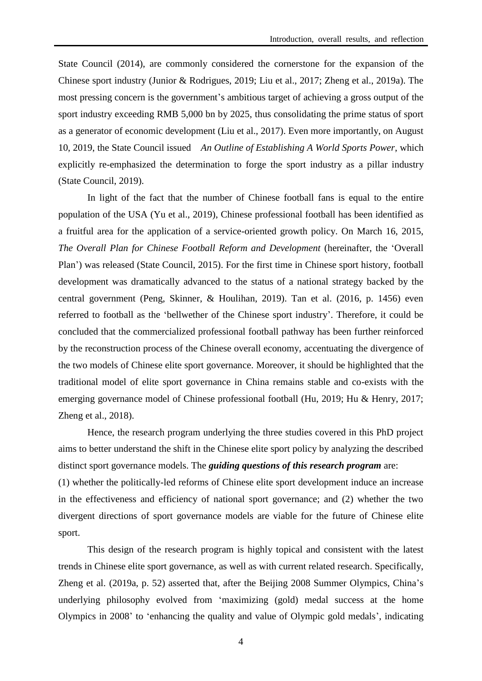State Council (2014), are commonly considered the cornerstone for the expansion of the Chinese sport industry (Junior & Rodrigues, 2019; Liu et al., 2017; Zheng et al., 2019a). The most pressing concern is the government's ambitious target of achieving a gross output of the sport industry exceeding RMB 5,000 bn by 2025, thus consolidating the prime status of sport as a generator of economic development (Liu et al., 2017). Even more importantly, on August 10, 2019, the State Council issued *An Outline of Establishing A World Sports Power*, which explicitly re-emphasized the determination to forge the sport industry as a pillar industry (State Council, 2019).

In light of the fact that the number of Chinese football fans is equal to the entire population of the USA (Yu et al., 2019), Chinese professional football has been identified as a fruitful area for the application of a service-oriented growth policy. On March 16, 2015, *The Overall Plan for Chinese Football Reform and Development* (hereinafter, the 'Overall Plan') was released (State Council, 2015). For the first time in Chinese sport history, football development was dramatically advanced to the status of a national strategy backed by the central government (Peng, Skinner, & Houlihan, 2019). Tan et al. (2016, p. 1456) even referred to football as the 'bellwether of the Chinese sport industry'. Therefore, it could be concluded that the commercialized professional football pathway has been further reinforced by the reconstruction process of the Chinese overall economy, accentuating the divergence of the two models of Chinese elite sport governance. Moreover, it should be highlighted that the traditional model of elite sport governance in China remains stable and co-exists with the emerging governance model of Chinese professional football (Hu, 2019; Hu & Henry, 2017; Zheng et al., 2018).

 Hence, the research program underlying the three studies covered in this PhD project aims to better understand the shift in the Chinese elite sport policy by analyzing the described distinct sport governance models. The *guiding questions of this research program* are:

(1) whether the politically-led reforms of Chinese elite sport development induce an increase in the effectiveness and efficiency of national sport governance; and (2) whether the two divergent directions of sport governance models are viable for the future of Chinese elite sport.

This design of the research program is highly topical and consistent with the latest trends in Chinese elite sport governance, as well as with current related research. Specifically, Zheng et al. (2019a, p. 52) asserted that, after the Beijing 2008 Summer Olympics, China's underlying philosophy evolved from 'maximizing (gold) medal success at the home Olympics in 2008' to 'enhancing the quality and value of Olympic gold medals', indicating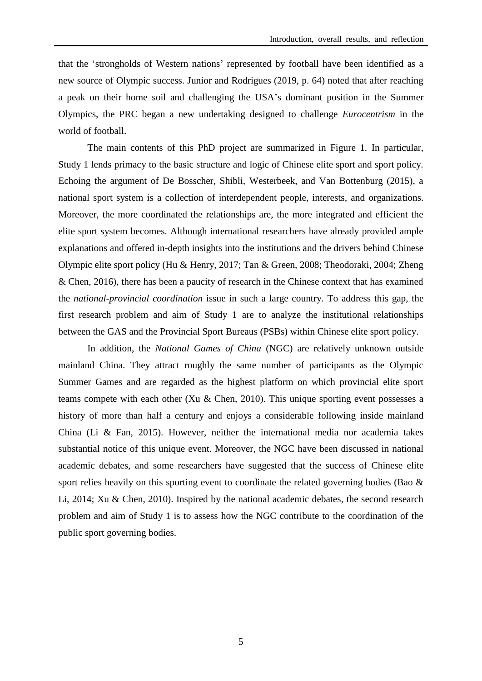that the 'strongholds of Western nations' represented by football have been identified as a new source of Olympic success. Junior and Rodrigues (2019, p. 64) noted that after reaching a peak on their home soil and challenging the USA's dominant position in the Summer Olympics, the PRC began a new undertaking designed to challenge *Eurocentrism* in the world of football.

 The main contents of this PhD project are summarized in Figure 1. In particular, Study 1 lends primacy to the basic structure and logic of Chinese elite sport and sport policy. Echoing the argument of De Bosscher, Shibli, Westerbeek, and Van Bottenburg (2015), a national sport system is a collection of interdependent people, interests, and organizations. Moreover, the more coordinated the relationships are, the more integrated and efficient the elite sport system becomes. Although international researchers have already provided ample explanations and offered in-depth insights into the institutions and the drivers behind Chinese Olympic elite sport policy (Hu & Henry, 2017; Tan & Green, 2008; Theodoraki, 2004; Zheng & Chen, 2016), there has been a paucity of research in the Chinese context that has examined the *national-provincial coordination* issue in such a large country. To address this gap, the first research problem and aim of Study 1 are to analyze the institutional relationships between the GAS and the Provincial Sport Bureaus (PSBs) within Chinese elite sport policy.

In addition, the *National Games of China* (NGC) are relatively unknown outside mainland China. They attract roughly the same number of participants as the Olympic Summer Games and are regarded as the highest platform on which provincial elite sport teams compete with each other (Xu & Chen, 2010). This unique sporting event possesses a history of more than half a century and enjoys a considerable following inside mainland China (Li & Fan, 2015). However, neither the international media nor academia takes substantial notice of this unique event. Moreover, the NGC have been discussed in national academic debates, and some researchers have suggested that the success of Chinese elite sport relies heavily on this sporting event to coordinate the related governing bodies (Bao  $\&$ Li, 2014; Xu & Chen, 2010). Inspired by the national academic debates, the second research problem and aim of Study 1 is to assess how the NGC contribute to the coordination of the public sport governing bodies.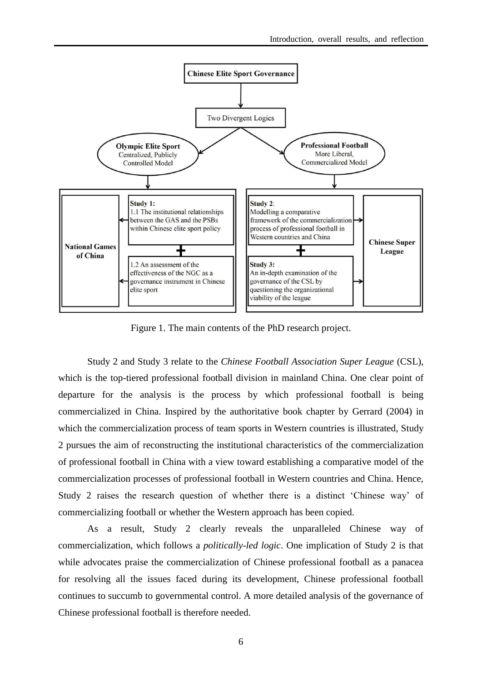

Figure 1. The main contents of the PhD research project.

 Study 2 and Study 3 relate to the *Chinese Football Association Super League* (CSL), which is the top-tiered professional football division in mainland China. One clear point of departure for the analysis is the process by which professional football is being commercialized in China. Inspired by the authoritative book chapter by Gerrard (2004) in which the commercialization process of team sports in Western countries is illustrated, Study 2 pursues the aim of reconstructing the institutional characteristics of the commercialization of professional football in China with a view toward establishing a comparative model of the commercialization processes of professional football in Western countries and China. Hence, Study 2 raises the research question of whether there is a distinct 'Chinese way' of commercializing football or whether the Western approach has been copied.

As a result, Study 2 clearly reveals the unparalleled Chinese way of commercialization, which follows a *politically-led logic*. One implication of Study 2 is that while advocates praise the commercialization of Chinese professional football as a panacea for resolving all the issues faced during its development, Chinese professional football continues to succumb to governmental control. A more detailed analysis of the governance of Chinese professional football is therefore needed.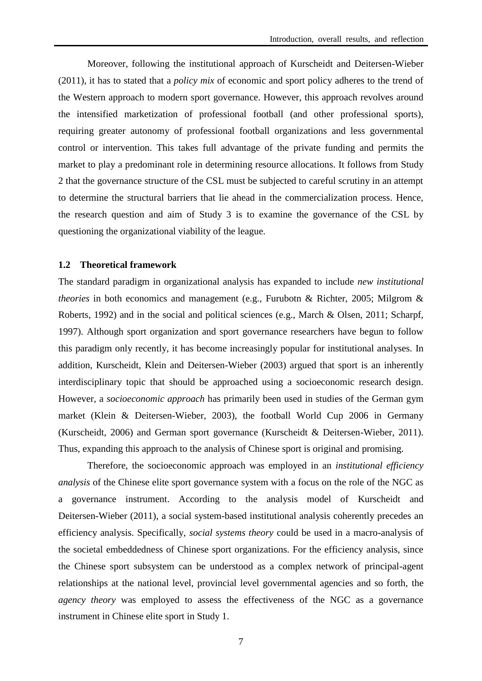Moreover, following the institutional approach of Kurscheidt and Deitersen-Wieber (2011), it has to stated that a *policy mix* of economic and sport policy adheres to the trend of the Western approach to modern sport governance. However, this approach revolves around the intensified marketization of professional football (and other professional sports), requiring greater autonomy of professional football organizations and less governmental control or intervention. This takes full advantage of the private funding and permits the market to play a predominant role in determining resource allocations. It follows from Study 2 that the governance structure of the CSL must be subjected to careful scrutiny in an attempt to determine the structural barriers that lie ahead in the commercialization process. Hence, the research question and aim of Study 3 is to examine the governance of the CSL by questioning the organizational viability of the league.

#### **1.2 Theoretical framework**

The standard paradigm in organizational analysis has expanded to include *new institutional theories* in both economics and management (e.g., Furubotn & Richter, 2005; Milgrom & Roberts, 1992) and in the social and political sciences (e.g., March & Olsen, 2011; Scharpf, 1997). Although sport organization and sport governance researchers have begun to follow this paradigm only recently, it has become increasingly popular for institutional analyses. In addition, Kurscheidt, Klein and Deitersen-Wieber (2003) argued that sport is an inherently interdisciplinary topic that should be approached using a socioeconomic research design. However, a *socioeconomic approach* has primarily been used in studies of the German gym market (Klein & Deitersen-Wieber, 2003), the football World Cup 2006 in Germany (Kurscheidt, 2006) and German sport governance (Kurscheidt & Deitersen-Wieber, 2011). Thus, expanding this approach to the analysis of Chinese sport is original and promising.

Therefore, the socioeconomic approach was employed in an *institutional efficiency analysis* of the Chinese elite sport governance system with a focus on the role of the NGC as a governance instrument. According to the analysis model of Kurscheidt and Deitersen-Wieber (2011), a social system-based institutional analysis coherently precedes an efficiency analysis. Specifically, *social systems theory* could be used in a macro-analysis of the societal embeddedness of Chinese sport organizations. For the efficiency analysis, since the Chinese sport subsystem can be understood as a complex network of principal-agent relationships at the national level, provincial level governmental agencies and so forth, the *agency theory* was employed to assess the effectiveness of the NGC as a governance instrument in Chinese elite sport in Study 1.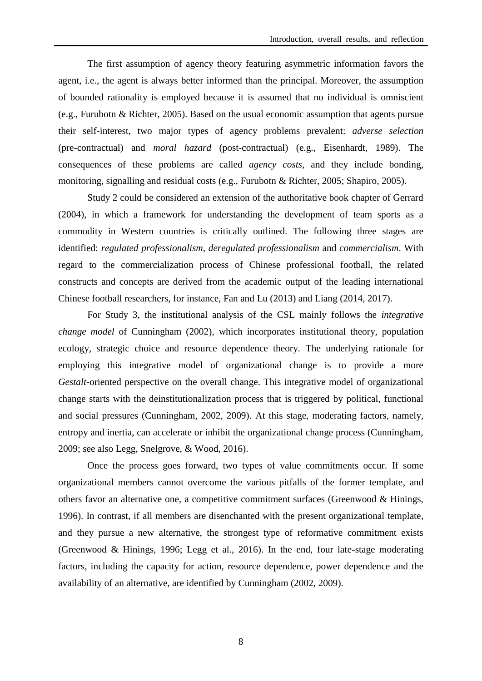The first assumption of agency theory featuring asymmetric information favors the agent, i.e., the agent is always better informed than the principal. Moreover, the assumption of bounded rationality is employed because it is assumed that no individual is omniscient (e.g., Furubotn & Richter, 2005). Based on the usual economic assumption that agents pursue their self-interest, two major types of agency problems prevalent: *adverse selection* (pre-contractual) and *moral hazard* (post-contractual) (e.g., Eisenhardt, 1989). The consequences of these problems are called *agency costs*, and they include bonding, monitoring, signalling and residual costs (e.g., Furubotn & Richter, 2005; Shapiro, 2005).

 Study 2 could be considered an extension of the authoritative book chapter of Gerrard (2004), in which a framework for understanding the development of team sports as a commodity in Western countries is critically outlined. The following three stages are identified: *regulated professionalism*, *deregulated professionalism* and *commercialism*. With regard to the commercialization process of Chinese professional football, the related constructs and concepts are derived from the academic output of the leading international Chinese football researchers, for instance, Fan and Lu (2013) and Liang (2014, 2017).

 For Study 3, the institutional analysis of the CSL mainly follows the *integrative change model* of Cunningham (2002), which incorporates institutional theory, population ecology, strategic choice and resource dependence theory. The underlying rationale for employing this integrative model of organizational change is to provide a more *Gestalt*-oriented perspective on the overall change. This integrative model of organizational change starts with the deinstitutionalization process that is triggered by political, functional and social pressures (Cunningham, 2002, 2009). At this stage, moderating factors, namely, entropy and inertia, can accelerate or inhibit the organizational change process (Cunningham, 2009; see also Legg, Snelgrove, & Wood, 2016).

Once the process goes forward, two types of value commitments occur. If some organizational members cannot overcome the various pitfalls of the former template, and others favor an alternative one, a competitive commitment surfaces (Greenwood & Hinings, 1996). In contrast, if all members are disenchanted with the present organizational template, and they pursue a new alternative, the strongest type of reformative commitment exists (Greenwood & Hinings, 1996; Legg et al., 2016). In the end, four late-stage moderating factors, including the capacity for action, resource dependence, power dependence and the availability of an alternative, are identified by Cunningham (2002, 2009).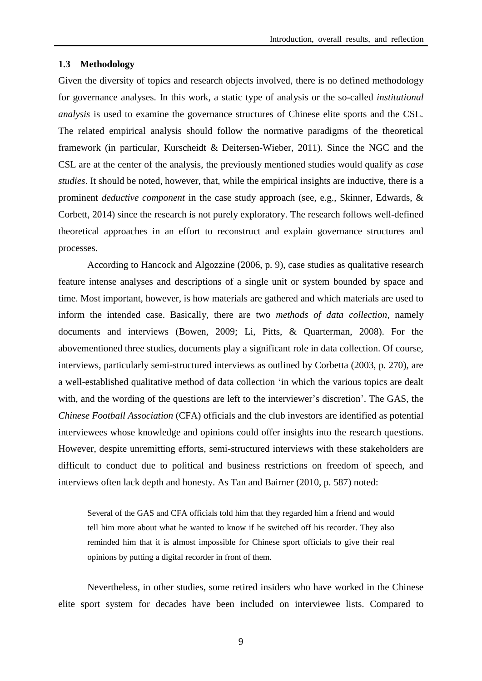#### **1.3 Methodology**

Given the diversity of topics and research objects involved, there is no defined methodology for governance analyses. In this work, a static type of analysis or the so-called *institutional analysis* is used to examine the governance structures of Chinese elite sports and the CSL. The related empirical analysis should follow the normative paradigms of the theoretical framework (in particular, Kurscheidt & Deitersen-Wieber, 2011). Since the NGC and the CSL are at the center of the analysis, the previously mentioned studies would qualify as *case studies*. It should be noted, however, that, while the empirical insights are inductive, there is a prominent *deductive component* in the case study approach (see, e.g., Skinner, Edwards, & Corbett, 2014) since the research is not purely exploratory. The research follows well-defined theoretical approaches in an effort to reconstruct and explain governance structures and processes.

 According to Hancock and Algozzine (2006, p. 9), case studies as qualitative research feature intense analyses and descriptions of a single unit or system bounded by space and time. Most important, however, is how materials are gathered and which materials are used to inform the intended case. Basically, there are two *methods of data collection*, namely documents and interviews (Bowen, 2009; Li, Pitts, & Quarterman, 2008). For the abovementioned three studies, documents play a significant role in data collection. Of course, interviews, particularly semi-structured interviews as outlined by Corbetta (2003, p. 270), are a well-established qualitative method of data collection 'in which the various topics are dealt with, and the wording of the questions are left to the interviewer's discretion'. The GAS, the *Chinese Football Association* (CFA) officials and the club investors are identified as potential interviewees whose knowledge and opinions could offer insights into the research questions. However, despite unremitting efforts, semi-structured interviews with these stakeholders are difficult to conduct due to political and business restrictions on freedom of speech, and interviews often lack depth and honesty. As Tan and Bairner (2010, p. 587) noted:

Several of the GAS and CFA officials told him that they regarded him a friend and would tell him more about what he wanted to know if he switched off his recorder. They also reminded him that it is almost impossible for Chinese sport officials to give their real opinions by putting a digital recorder in front of them.

Nevertheless, in other studies, some retired insiders who have worked in the Chinese elite sport system for decades have been included on interviewee lists. Compared to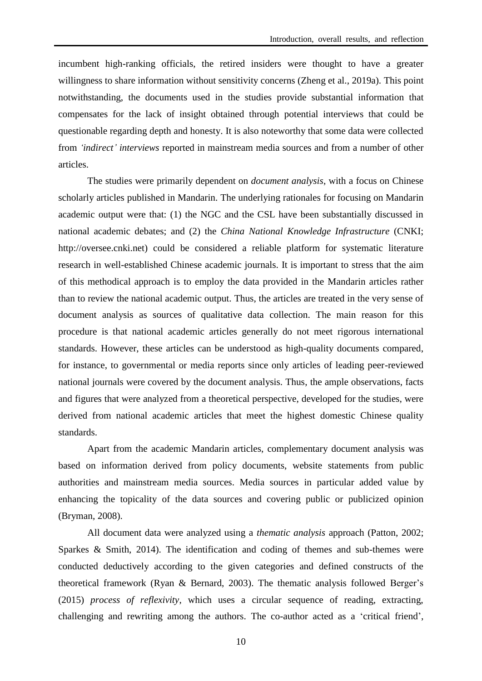incumbent high-ranking officials, the retired insiders were thought to have a greater willingness to share information without sensitivity concerns (Zheng et al., 2019a). This point notwithstanding, the documents used in the studies provide substantial information that compensates for the lack of insight obtained through potential interviews that could be questionable regarding depth and honesty. It is also noteworthy that some data were collected from *'indirect' interviews* reported in mainstream media sources and from a number of other articles.

 The studies were primarily dependent on *document analysis*, with a focus on Chinese scholarly articles published in Mandarin. The underlying rationales for focusing on Mandarin academic output were that: (1) the NGC and the CSL have been substantially discussed in national academic debates; and (2) the *China National Knowledge Infrastructure* (CNKI; [http://oversee.cnki.net\)](http://oversee.cnki.net/) could be considered a reliable platform for systematic literature research in well-established Chinese academic journals. It is important to stress that the aim of this methodical approach is to employ the data provided in the Mandarin articles rather than to review the national academic output. Thus, the articles are treated in the very sense of document analysis as sources of qualitative data collection. The main reason for this procedure is that national academic articles generally do not meet rigorous international standards. However, these articles can be understood as high-quality documents compared, for instance, to governmental or media reports since only articles of leading peer-reviewed national journals were covered by the document analysis. Thus, the ample observations, facts and figures that were analyzed from a theoretical perspective, developed for the studies, were derived from national academic articles that meet the highest domestic Chinese quality standards.

 Apart from the academic Mandarin articles, complementary document analysis was based on information derived from policy documents, website statements from public authorities and mainstream media sources. Media sources in particular added value by enhancing the topicality of the data sources and covering public or publicized opinion (Bryman, 2008).

 All document data were analyzed using a *thematic analysis* approach (Patton, 2002; Sparkes & Smith, 2014). The identification and coding of themes and sub-themes were conducted deductively according to the given categories and defined constructs of the theoretical framework (Ryan & Bernard, 2003). The thematic analysis followed Berger's (2015) *process of reflexivity*, which uses a circular sequence of reading, extracting, challenging and rewriting among the authors. The co-author acted as a 'critical friend',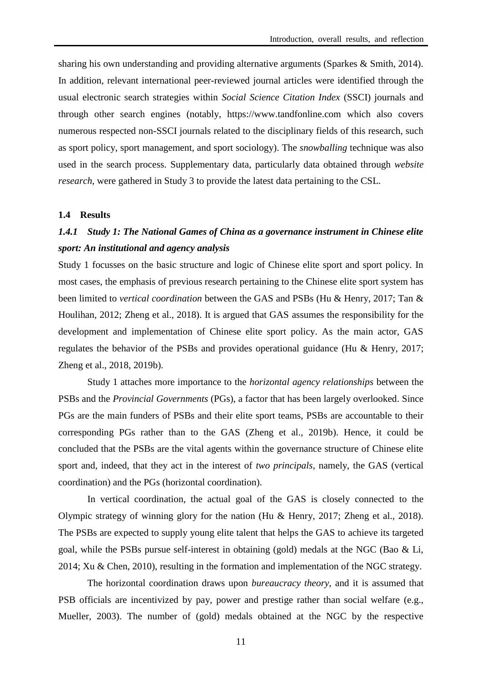sharing his own understanding and providing alternative arguments (Sparkes & Smith, 2014). In addition, relevant international peer-reviewed journal articles were identified through the usual electronic search strategies within *Social Science Citation Index* (SSCI) journals and through other search engines (notably, https://www.tandfonline.com which also covers numerous respected non-SSCI journals related to the disciplinary fields of this research, such as sport policy, sport management, and sport sociology). The *snowballing* technique was also used in the search process. Supplementary data, particularly data obtained through *website research*, were gathered in Study 3 to provide the latest data pertaining to the CSL.

## **1.4 Results**

# *1.4.1 Study 1: The National Games of China as a governance instrument in Chinese elite sport: An institutional and agency analysis*

Study 1 focusses on the basic structure and logic of Chinese elite sport and sport policy. In most cases, the emphasis of previous research pertaining to the Chinese elite sport system has been limited to *vertical coordination* between the GAS and PSBs (Hu & Henry, 2017; Tan & Houlihan, 2012; Zheng et al., 2018). It is argued that GAS assumes the responsibility for the development and implementation of Chinese elite sport policy. As the main actor, GAS regulates the behavior of the PSBs and provides operational guidance (Hu & Henry, 2017; Zheng et al., 2018, 2019b).

Study 1 attaches more importance to the *horizontal agency relationships* between the PSBs and the *Provincial Governments* (PGs), a factor that has been largely overlooked. Since PGs are the main funders of PSBs and their elite sport teams, PSBs are accountable to their corresponding PGs rather than to the GAS (Zheng et al., 2019b). Hence, it could be concluded that the PSBs are the vital agents within the governance structure of Chinese elite sport and, indeed, that they act in the interest of *two principals*, namely, the GAS (vertical coordination) and the PGs (horizontal coordination).

In vertical coordination, the actual goal of the GAS is closely connected to the Olympic strategy of winning glory for the nation (Hu & Henry, 2017; Zheng et al., 2018). The PSBs are expected to supply young elite talent that helps the GAS to achieve its targeted goal, while the PSBs pursue self-interest in obtaining (gold) medals at the NGC (Bao & Li, 2014; Xu & Chen, 2010), resulting in the formation and implementation of the NGC strategy.

The horizontal coordination draws upon *bureaucracy theory*, and it is assumed that PSB officials are incentivized by pay, power and prestige rather than social welfare (e.g., Mueller, 2003). The number of (gold) medals obtained at the NGC by the respective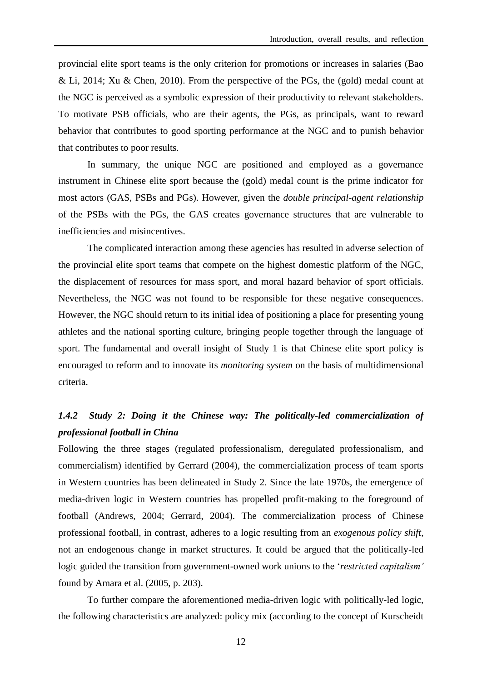provincial elite sport teams is the only criterion for promotions or increases in salaries (Bao & Li, 2014; Xu & Chen, 2010). From the perspective of the PGs, the (gold) medal count at the NGC is perceived as a symbolic expression of their productivity to relevant stakeholders. To motivate PSB officials, who are their agents, the PGs, as principals, want to reward behavior that contributes to good sporting performance at the NGC and to punish behavior that contributes to poor results.

In summary, the unique NGC are positioned and employed as a governance instrument in Chinese elite sport because the (gold) medal count is the prime indicator for most actors (GAS, PSBs and PGs). However, given the *double principal-agent relationship* of the PSBs with the PGs, the GAS creates governance structures that are vulnerable to inefficiencies and misincentives.

The complicated interaction among these agencies has resulted in adverse selection of the provincial elite sport teams that compete on the highest domestic platform of the NGC, the displacement of resources for mass sport, and moral hazard behavior of sport officials. Nevertheless, the NGC was not found to be responsible for these negative consequences. However, the NGC should return to its initial idea of positioning a place for presenting young athletes and the national sporting culture, bringing people together through the language of sport. The fundamental and overall insight of Study 1 is that Chinese elite sport policy is encouraged to reform and to innovate its *monitoring system* on the basis of multidimensional criteria.

# *1.4.2 Study 2: Doing it the Chinese way: The politically-led commercialization of professional football in China*

Following the three stages (regulated professionalism, deregulated professionalism, and commercialism) identified by Gerrard (2004), the commercialization process of team sports in Western countries has been delineated in Study 2. Since the late 1970s, the emergence of media-driven logic in Western countries has propelled profit-making to the foreground of football (Andrews, 2004; Gerrard, 2004). The commercialization process of Chinese professional football, in contrast, adheres to a logic resulting from an *exogenous policy shift*, not an endogenous change in market structures. It could be argued that the politically-led logic guided the transition from government-owned work unions to the '*restricted capitalism'* found by Amara et al. (2005, p. 203).

 To further compare the aforementioned media-driven logic with politically-led logic, the following characteristics are analyzed: policy mix (according to the concept of Kurscheidt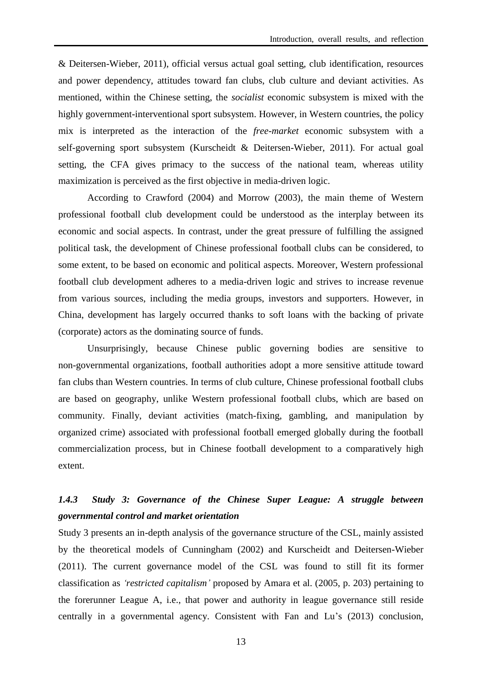& Deitersen-Wieber, 2011), official versus actual goal setting, club identification, resources and power dependency, attitudes toward fan clubs, club culture and deviant activities. As mentioned, within the Chinese setting, the *socialist* economic subsystem is mixed with the highly government-interventional sport subsystem. However, in Western countries, the policy mix is interpreted as the interaction of the *free-market* economic subsystem with a self-governing sport subsystem (Kurscheidt & Deitersen-Wieber, 2011). For actual goal setting, the CFA gives primacy to the success of the national team, whereas utility maximization is perceived as the first objective in media-driven logic.

 According to Crawford (2004) and Morrow (2003), the main theme of Western professional football club development could be understood as the interplay between its economic and social aspects. In contrast, under the great pressure of fulfilling the assigned political task, the development of Chinese professional football clubs can be considered, to some extent, to be based on economic and political aspects. Moreover, Western professional football club development adheres to a media-driven logic and strives to increase revenue from various sources, including the media groups, investors and supporters. However, in China, development has largely occurred thanks to soft loans with the backing of private (corporate) actors as the dominating source of funds.

 Unsurprisingly, because Chinese public governing bodies are sensitive to non-governmental organizations, football authorities adopt a more sensitive attitude toward fan clubs than Western countries. In terms of club culture, Chinese professional football clubs are based on geography, unlike Western professional football clubs, which are based on community. Finally, deviant activities (match-fixing, gambling, and manipulation by organized crime) associated with professional football emerged globally during the football commercialization process, but in Chinese football development to a comparatively high extent.

# *1.4.3 Study 3: Governance of the Chinese Super League: A struggle between governmental control and market orientation*

Study 3 presents an in-depth analysis of the governance structure of the CSL, mainly assisted by the theoretical models of Cunningham (2002) and Kurscheidt and Deitersen-Wieber (2011). The current governance model of the CSL was found to still fit its former classification as *'restricted capitalism'* proposed by Amara et al. (2005, p. 203) pertaining to the forerunner League A, i.e., that power and authority in league governance still reside centrally in a governmental agency. Consistent with Fan and Lu's (2013) conclusion,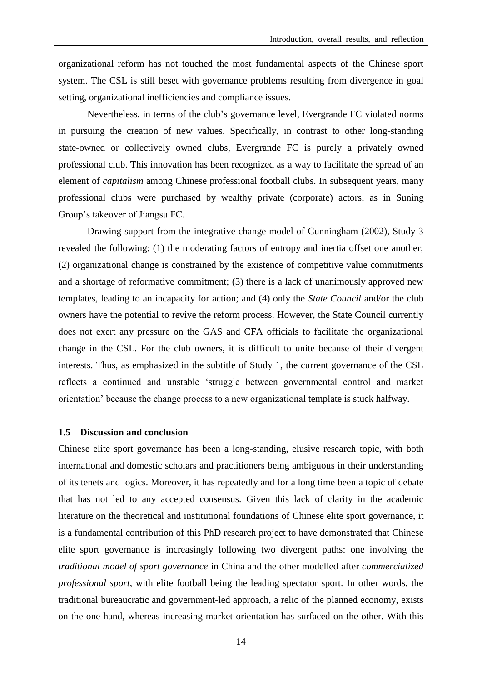organizational reform has not touched the most fundamental aspects of the Chinese sport system. The CSL is still beset with governance problems resulting from divergence in goal setting, organizational inefficiencies and compliance issues.

Nevertheless, in terms of the club's governance level, Evergrande FC violated norms in pursuing the creation of new values. Specifically, in contrast to other long-standing state-owned or collectively owned clubs, Evergrande FC is purely a privately owned professional club. This innovation has been recognized as a way to facilitate the spread of an element of *capitalism* among Chinese professional football clubs. In subsequent years, many professional clubs were purchased by wealthy private (corporate) actors, as in Suning Group's takeover of Jiangsu FC.

 Drawing support from the integrative change model of Cunningham (2002), Study 3 revealed the following: (1) the moderating factors of entropy and inertia offset one another; (2) organizational change is constrained by the existence of competitive value commitments and a shortage of reformative commitment; (3) there is a lack of unanimously approved new templates, leading to an incapacity for action; and (4) only the *State Council* and/or the club owners have the potential to revive the reform process. However, the State Council currently does not exert any pressure on the GAS and CFA officials to facilitate the organizational change in the CSL. For the club owners, it is difficult to unite because of their divergent interests. Thus, as emphasized in the subtitle of Study 1, the current governance of the CSL reflects a continued and unstable 'struggle between governmental control and market orientation' because the change process to a new organizational template is stuck halfway.

#### **1.5 Discussion and conclusion**

Chinese elite sport governance has been a long-standing, elusive research topic, with both international and domestic scholars and practitioners being ambiguous in their understanding of its tenets and logics. Moreover, it has repeatedly and for a long time been a topic of debate that has not led to any accepted consensus. Given this lack of clarity in the academic literature on the theoretical and institutional foundations of Chinese elite sport governance, it is a fundamental contribution of this PhD research project to have demonstrated that Chinese elite sport governance is increasingly following two divergent paths: one involving the *traditional model of sport governance* in China and the other modelled after *commercialized professional sport*, with elite football being the leading spectator sport. In other words, the traditional bureaucratic and government-led approach, a relic of the planned economy, exists on the one hand, whereas increasing market orientation has surfaced on the other. With this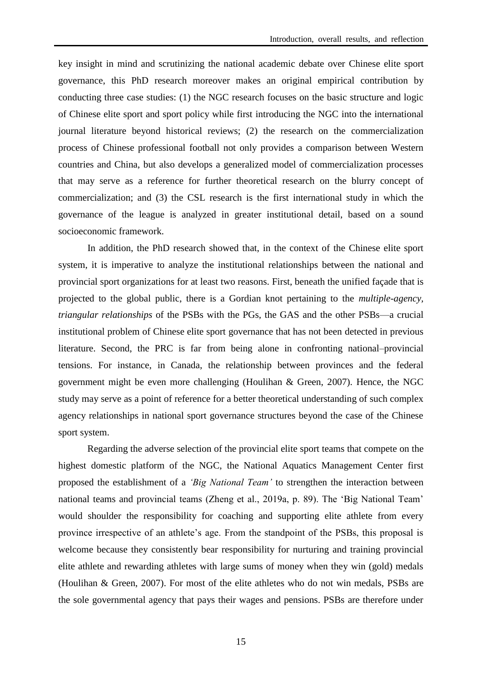key insight in mind and scrutinizing the national academic debate over Chinese elite sport governance, this PhD research moreover makes an original empirical contribution by conducting three case studies: (1) the NGC research focuses on the basic structure and logic of Chinese elite sport and sport policy while first introducing the NGC into the international journal literature beyond historical reviews; (2) the research on the commercialization process of Chinese professional football not only provides a comparison between Western countries and China, but also develops a generalized model of commercialization processes that may serve as a reference for further theoretical research on the blurry concept of commercialization; and (3) the CSL research is the first international study in which the governance of the league is analyzed in greater institutional detail, based on a sound socioeconomic framework.

 In addition, the PhD research showed that, in the context of the Chinese elite sport system, it is imperative to analyze the institutional relationships between the national and provincial sport organizations for at least two reasons. First, beneath the unified façade that is projected to the global public, there is a Gordian knot pertaining to the *multiple-agency, triangular relationships* of the PSBs with the PGs, the GAS and the other PSBs—a crucial institutional problem of Chinese elite sport governance that has not been detected in previous literature. Second, the PRC is far from being alone in confronting national–provincial tensions. For instance, in Canada, the relationship between provinces and the federal government might be even more challenging (Houlihan & Green, 2007). Hence, the NGC study may serve as a point of reference for a better theoretical understanding of such complex agency relationships in national sport governance structures beyond the case of the Chinese sport system.

 Regarding the adverse selection of the provincial elite sport teams that compete on the highest domestic platform of the NGC, the National Aquatics Management Center first proposed the establishment of a *'Big National Team'* to strengthen the interaction between national teams and provincial teams (Zheng et al., 2019a, p. 89). The 'Big National Team' would shoulder the responsibility for coaching and supporting elite athlete from every province irrespective of an athlete's age. From the standpoint of the PSBs, this proposal is welcome because they consistently bear responsibility for nurturing and training provincial elite athlete and rewarding athletes with large sums of money when they win (gold) medals (Houlihan & Green, 2007). For most of the elite athletes who do not win medals, PSBs are the sole governmental agency that pays their wages and pensions. PSBs are therefore under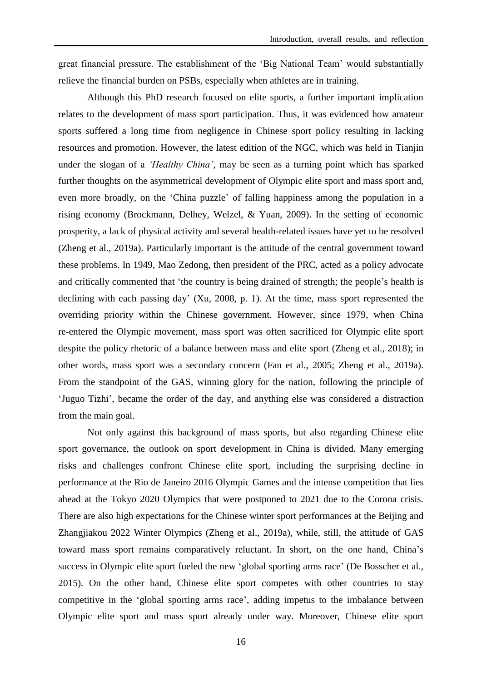great financial pressure. The establishment of the 'Big National Team' would substantially relieve the financial burden on PSBs, especially when athletes are in training.

 Although this PhD research focused on elite sports, a further important implication relates to the development of mass sport participation. Thus, it was evidenced how amateur sports suffered a long time from negligence in Chinese sport policy resulting in lacking resources and promotion. However, the latest edition of the NGC, which was held in Tianjin under the slogan of a *'Healthy China'*, may be seen as a turning point which has sparked further thoughts on the asymmetrical development of Olympic elite sport and mass sport and, even more broadly, on the 'China puzzle' of falling happiness among the population in a rising economy (Brockmann, Delhey, Welzel, & Yuan, 2009). In the setting of economic prosperity, a lack of physical activity and several health-related issues have yet to be resolved (Zheng et al., 2019a). Particularly important is the attitude of the central government toward these problems. In 1949, Mao Zedong, then president of the PRC, acted as a policy advocate and critically commented that 'the country is being drained of strength; the people's health is declining with each passing day' (Xu, 2008, p. 1). At the time, mass sport represented the overriding priority within the Chinese government. However, since 1979, when China re-entered the Olympic movement, mass sport was often sacrificed for Olympic elite sport despite the policy rhetoric of a balance between mass and elite sport (Zheng et al., 2018); in other words, mass sport was a secondary concern (Fan et al., 2005; Zheng et al., 2019a). From the standpoint of the GAS, winning glory for the nation, following the principle of 'Juguo Tizhi', became the order of the day, and anything else was considered a distraction from the main goal.

 Not only against this background of mass sports, but also regarding Chinese elite sport governance, the outlook on sport development in China is divided. Many emerging risks and challenges confront Chinese elite sport, including the surprising decline in performance at the Rio de Janeiro 2016 Olympic Games and the intense competition that lies ahead at the Tokyo 2020 Olympics that were postponed to 2021 due to the Corona crisis. There are also high expectations for the Chinese winter sport performances at the Beijing and Zhangjiakou 2022 Winter Olympics (Zheng et al., 2019a), while, still, the attitude of GAS toward mass sport remains comparatively reluctant. In short, on the one hand, China's success in Olympic elite sport fueled the new 'global sporting arms race' (De Bosscher et al., 2015). On the other hand, Chinese elite sport competes with other countries to stay competitive in the 'global sporting arms race', adding impetus to the imbalance between Olympic elite sport and mass sport already under way. Moreover, Chinese elite sport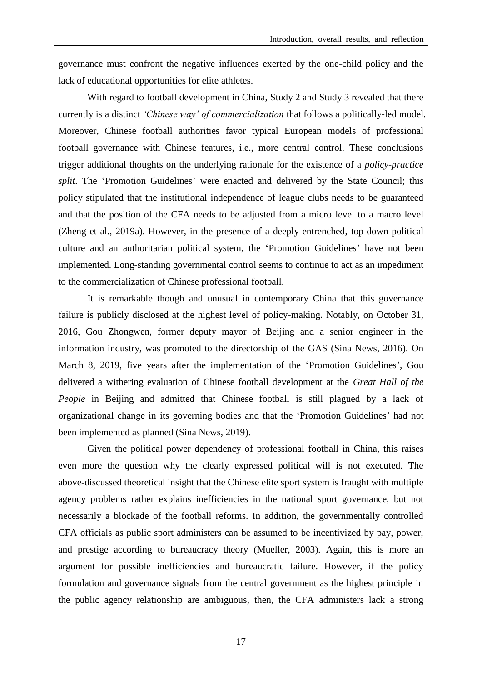governance must confront the negative influences exerted by the one-child policy and the lack of educational opportunities for elite athletes.

 With regard to football development in China, Study 2 and Study 3 revealed that there currently is a distinct *'Chinese way' of commercialization* that follows a politically-led model. Moreover, Chinese football authorities favor typical European models of professional football governance with Chinese features, i.e., more central control. These conclusions trigger additional thoughts on the underlying rationale for the existence of a *policy-practice split*. The 'Promotion Guidelines' were enacted and delivered by the State Council; this policy stipulated that the institutional independence of league clubs needs to be guaranteed and that the position of the CFA needs to be adjusted from a micro level to a macro level (Zheng et al., 2019a). However, in the presence of a deeply entrenched, top-down political culture and an authoritarian political system, the 'Promotion Guidelines' have not been implemented. Long-standing governmental control seems to continue to act as an impediment to the commercialization of Chinese professional football.

 It is remarkable though and unusual in contemporary China that this governance failure is publicly disclosed at the highest level of policy-making. Notably, on October 31, 2016, Gou Zhongwen, former deputy mayor of Beijing and a senior engineer in the information industry, was promoted to the directorship of the GAS (Sina News, 2016). On March 8, 2019, five years after the implementation of the 'Promotion Guidelines', Gou delivered a withering evaluation of Chinese football development at the *Great Hall of the People* in Beijing and admitted that Chinese football is still plagued by a lack of organizational change in its governing bodies and that the 'Promotion Guidelines' had not been implemented as planned (Sina News, 2019).

 Given the political power dependency of professional football in China, this raises even more the question why the clearly expressed political will is not executed. The above-discussed theoretical insight that the Chinese elite sport system is fraught with multiple agency problems rather explains inefficiencies in the national sport governance, but not necessarily a blockade of the football reforms. In addition, the governmentally controlled CFA officials as public sport administers can be assumed to be incentivized by pay, power, and prestige according to bureaucracy theory (Mueller, 2003). Again, this is more an argument for possible inefficiencies and bureaucratic failure. However, if the policy formulation and governance signals from the central government as the highest principle in the public agency relationship are ambiguous, then, the CFA administers lack a strong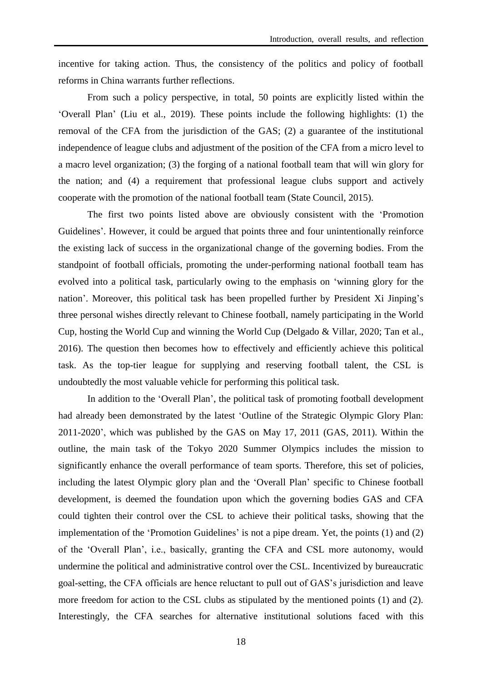incentive for taking action. Thus, the consistency of the politics and policy of football reforms in China warrants further reflections.

 From such a policy perspective, in total, 50 points are explicitly listed within the 'Overall Plan' (Liu et al., 2019). These points include the following highlights: (1) the removal of the CFA from the jurisdiction of the GAS; (2) a guarantee of the institutional independence of league clubs and adjustment of the position of the CFA from a micro level to a macro level organization; (3) the forging of a national football team that will win glory for the nation; and (4) a requirement that professional league clubs support and actively cooperate with the promotion of the national football team (State Council, 2015).

The first two points listed above are obviously consistent with the 'Promotion Guidelines'. However, it could be argued that points three and four unintentionally reinforce the existing lack of success in the organizational change of the governing bodies. From the standpoint of football officials, promoting the under-performing national football team has evolved into a political task, particularly owing to the emphasis on 'winning glory for the nation'. Moreover, this political task has been propelled further by President Xi Jinping's three personal wishes directly relevant to Chinese football, namely participating in the World Cup, hosting the World Cup and winning the World Cup (Delgado & Villar, 2020; Tan et al., 2016). The question then becomes how to effectively and efficiently achieve this political task. As the top-tier league for supplying and reserving football talent, the CSL is undoubtedly the most valuable vehicle for performing this political task.

In addition to the 'Overall Plan', the political task of promoting football development had already been demonstrated by the latest 'Outline of the Strategic Olympic Glory Plan: 2011-2020', which was published by the GAS on May 17, 2011 (GAS, 2011). Within the outline, the main task of the Tokyo 2020 Summer Olympics includes the mission to significantly enhance the overall performance of team sports. Therefore, this set of policies, including the latest Olympic glory plan and the 'Overall Plan' specific to Chinese football development, is deemed the foundation upon which the governing bodies GAS and CFA could tighten their control over the CSL to achieve their political tasks, showing that the implementation of the 'Promotion Guidelines' is not a pipe dream. Yet, the points (1) and (2) of the 'Overall Plan', i.e., basically, granting the CFA and CSL more autonomy, would undermine the political and administrative control over the CSL. Incentivized by bureaucratic goal-setting, the CFA officials are hence reluctant to pull out of GAS's jurisdiction and leave more freedom for action to the CSL clubs as stipulated by the mentioned points (1) and (2). Interestingly, the CFA searches for alternative institutional solutions faced with this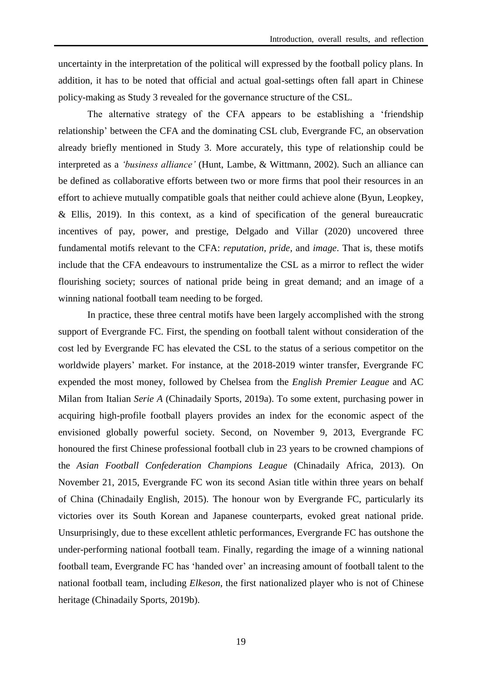uncertainty in the interpretation of the political will expressed by the football policy plans. In addition, it has to be noted that official and actual goal-settings often fall apart in Chinese policy-making as Study 3 revealed for the governance structure of the CSL.

The alternative strategy of the CFA appears to be establishing a 'friendship relationship' between the CFA and the dominating CSL club, Evergrande FC, an observation already briefly mentioned in Study 3. More accurately, this type of relationship could be interpreted as a *'business alliance'* (Hunt, Lambe, & Wittmann, 2002). Such an alliance can be defined as collaborative efforts between two or more firms that pool their resources in an effort to achieve mutually compatible goals that neither could achieve alone (Byun, Leopkey, & Ellis, 2019). In this context, as a kind of specification of the general bureaucratic incentives of pay, power, and prestige, Delgado and Villar (2020) uncovered three fundamental motifs relevant to the CFA: *reputation, pride*, and *image*. That is, these motifs include that the CFA endeavours to instrumentalize the CSL as a mirror to reflect the wider flourishing society; sources of national pride being in great demand; and an image of a winning national football team needing to be forged.

In practice, these three central motifs have been largely accomplished with the strong support of Evergrande FC. First, the spending on football talent without consideration of the cost led by Evergrande FC has elevated the CSL to the status of a serious competitor on the worldwide players' market. For instance, at the 2018-2019 winter transfer, Evergrande FC expended the most money, followed by Chelsea from the *English Premier League* and AC Milan from Italian *Serie A* (Chinadaily Sports, 2019a). To some extent, purchasing power in acquiring high-profile football players provides an index for the economic aspect of the envisioned globally powerful society. Second, on November 9, 2013, Evergrande FC honoured the first Chinese professional football club in 23 years to be crowned champions of the *Asian Football Confederation Champions League* (Chinadaily Africa, 2013). On November 21, 2015, Evergrande FC won its second Asian title within three years on behalf of China (Chinadaily English, 2015). The honour won by Evergrande FC, particularly its victories over its South Korean and Japanese counterparts, evoked great national pride. Unsurprisingly, due to these excellent athletic performances, Evergrande FC has outshone the under-performing national football team. Finally, regarding the image of a winning national football team, Evergrande FC has 'handed over' an increasing amount of football talent to the national football team, including *Elkeson*, the first nationalized player who is not of Chinese heritage (Chinadaily Sports, 2019b).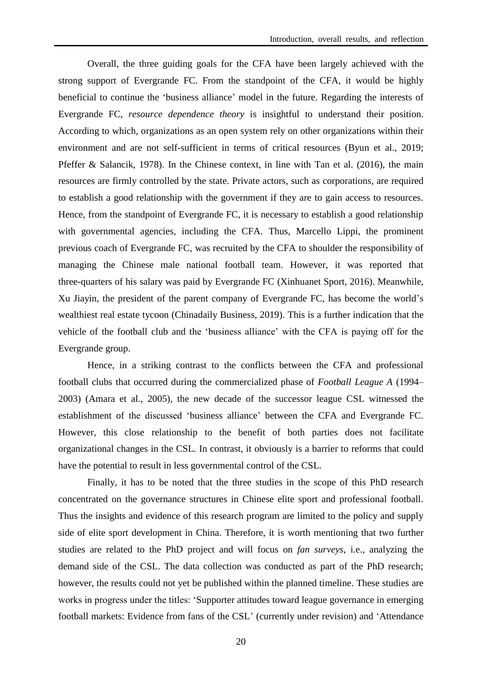Overall, the three guiding goals for the CFA have been largely achieved with the strong support of Evergrande FC. From the standpoint of the CFA, it would be highly beneficial to continue the 'business alliance' model in the future. Regarding the interests of Evergrande FC, *resource dependence theory* is insightful to understand their position. According to which, organizations as an open system rely on other organizations within their environment and are not self-sufficient in terms of critical resources (Byun et al., 2019; Pfeffer & Salancik, 1978). In the Chinese context, in line with Tan et al. (2016), the main resources are firmly controlled by the state. Private actors, such as corporations, are required to establish a good relationship with the government if they are to gain access to resources. Hence, from the standpoint of Evergrande FC, it is necessary to establish a good relationship with governmental agencies, including the CFA. Thus, Marcello Lippi, the prominent previous coach of Evergrande FC, was recruited by the CFA to shoulder the responsibility of managing the Chinese male national football team. However, it was reported that three-quarters of his salary was paid by Evergrande FC (Xinhuanet Sport, 2016). Meanwhile, Xu Jiayin, the president of the parent company of Evergrande FC, has become the world's wealthiest real estate tycoon (Chinadaily Business, 2019). This is a further indication that the vehicle of the football club and the 'business alliance' with the CFA is paying off for the Evergrande group.

Hence, in a striking contrast to the conflicts between the CFA and professional football clubs that occurred during the commercialized phase of *Football League A* (1994– 2003) (Amara et al., 2005), the new decade of the successor league CSL witnessed the establishment of the discussed 'business alliance' between the CFA and Evergrande FC. However, this close relationship to the benefit of both parties does not facilitate organizational changes in the CSL. In contrast, it obviously is a barrier to reforms that could have the potential to result in less governmental control of the CSL.

 Finally, it has to be noted that the three studies in the scope of this PhD research concentrated on the governance structures in Chinese elite sport and professional football. Thus the insights and evidence of this research program are limited to the policy and supply side of elite sport development in China. Therefore, it is worth mentioning that two further studies are related to the PhD project and will focus on *fan surveys*, i.e., analyzing the demand side of the CSL. The data collection was conducted as part of the PhD research; however, the results could not yet be published within the planned timeline. These studies are works in progress under the titles: 'Supporter attitudes toward league governance in emerging football markets: Evidence from fans of the CSL' (currently under revision) and 'Attendance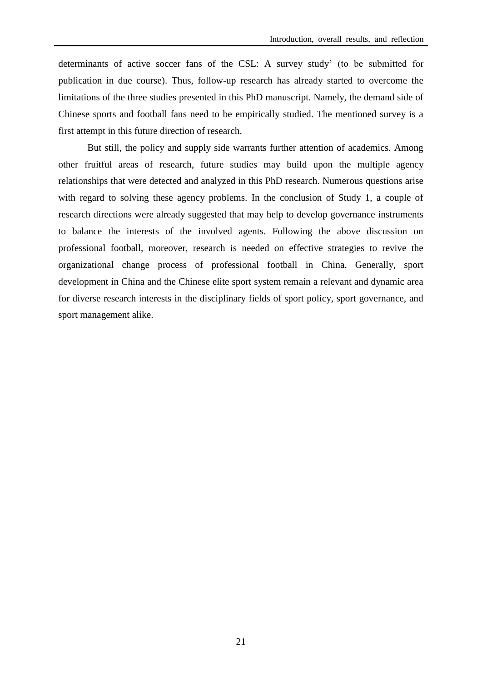determinants of active soccer fans of the CSL: A survey study' (to be submitted for publication in due course). Thus, follow-up research has already started to overcome the limitations of the three studies presented in this PhD manuscript. Namely, the demand side of Chinese sports and football fans need to be empirically studied. The mentioned survey is a first attempt in this future direction of research.

 But still, the policy and supply side warrants further attention of academics. Among other fruitful areas of research, future studies may build upon the multiple agency relationships that were detected and analyzed in this PhD research. Numerous questions arise with regard to solving these agency problems. In the conclusion of Study 1, a couple of research directions were already suggested that may help to develop governance instruments to balance the interests of the involved agents. Following the above discussion on professional football, moreover, research is needed on effective strategies to revive the organizational change process of professional football in China. Generally, sport development in China and the Chinese elite sport system remain a relevant and dynamic area for diverse research interests in the disciplinary fields of sport policy, sport governance, and sport management alike.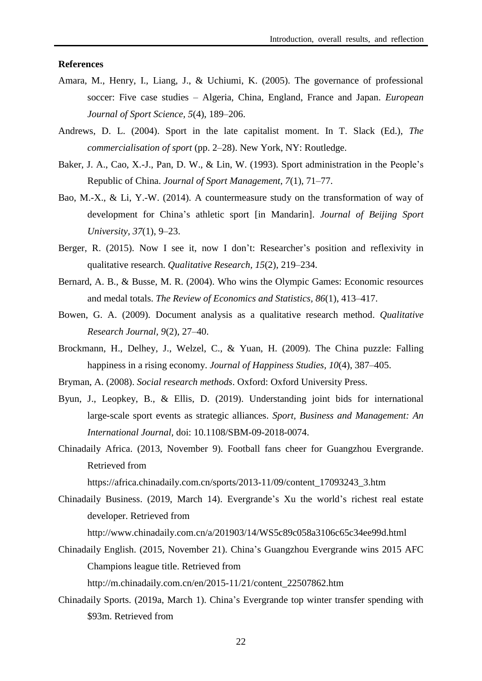## **References**

- Amara, M., Henry, I., Liang, J., & Uchiumi, K. (2005). The governance of professional soccer: Five case studies – Algeria, China, England, France and Japan. *European Journal of Sport Science, 5*(4), 189–206.
- Andrews, D. L. (2004). Sport in the late capitalist moment. In T. Slack (Ed.), *The commercialisation of sport* (pp. 2–28). New York, NY: Routledge.
- Baker, J. A., Cao, X.-J., Pan, D. W., & Lin, W. (1993). Sport administration in the People's Republic of China. *Journal of Sport Management, 7*(1), 71–77.
- Bao, M.-X., & Li, Y.-W. (2014). A countermeasure study on the transformation of way of development for China's athletic sport [in Mandarin]. *Journal of Beijing Sport University, 37*(1), 9–23.
- Berger, R. (2015). Now I see it, now I don't: Researcher's position and reflexivity in qualitative research. *Qualitative Research, 15*(2), 219–234.
- Bernard, A. B., & Busse, M. R. (2004). Who wins the Olympic Games: Economic resources and medal totals. *The Review of Economics and Statistics, 86*(1), 413–417.
- Bowen, G. A. (2009). Document analysis as a qualitative research method. *Qualitative Research Journal, 9*(2), 27–40.
- Brockmann, H., Delhey, J., Welzel, C., & Yuan, H. (2009). The China puzzle: Falling happiness in a rising economy. *Journal of Happiness Studies, 10*(4), 387–405.
- Bryman, A. (2008). *Social research methods*. Oxford: Oxford University Press.
- Byun, J., Leopkey, B., & Ellis, D. (2019). Understanding joint bids for international large-scale sport events as strategic alliances. *Sport, Business and Management: An International Journal,* doi: 10.1108/SBM-09-2018-0074.
- Chinadaily Africa. (2013, November 9). Football fans cheer for Guangzhou Evergrande. Retrieved from

[https://africa.chinadaily.com.cn/sports/2013-11/09/content\\_17093243\\_3.htm](https://africa.chinadaily.com.cn/sports/2013-11/09/content_17093243_3.htm)

Chinadaily Business. (2019, March 14). Evergrande's Xu the world's richest real estate developer. Retrieved from

<http://www.chinadaily.com.cn/a/201903/14/WS5c89c058a3106c65c34ee99d.html>

Chinadaily English. (2015, November 21). China's Guangzhou Evergrande wins 2015 AFC Champions league title. Retrieved from

[http://m.chinadaily.com.cn/en/2015-11/21/content\\_22507862.htm](http://m.chinadaily.com.cn/en/2015-11/21/content_22507862.htm)

Chinadaily Sports. (2019a, March 1). China's Evergrande top winter transfer spending with \$93m. Retrieved from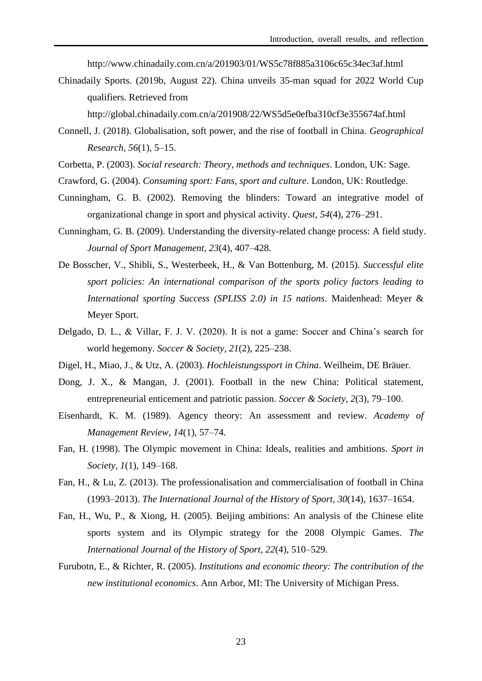http://www.chinadaily.com.cn/a/201903/01/WS5c78f885a3106c65c34ec3af.html

Chinadaily Sports. (2019b, August 22). China unveils 35-man squad for 2022 World Cup qualifiers. Retrieved from

<http://global.chinadaily.com.cn/a/201908/22/WS5d5e0efba310cf3e355674af.html>

- Connell, J. (2018). Globalisation, soft power, and the rise of football in China. *Geographical Research, 56*(1), 5–15.
- Corbetta, P. (2003). *Social research: Theory, methods and techniques*. London, UK: Sage.
- Crawford, G. (2004). *Consuming sport: Fans, sport and culture*. London, UK: Routledge.
- Cunningham, G. B. (2002). Removing the blinders: Toward an integrative model of organizational change in sport and physical activity. *Quest, 54*(4), 276–291.
- Cunningham, G. B. (2009). Understanding the diversity-related change process: A field study. *Journal of Sport Management, 23*(4), 407–428.
- De Bosscher, V., Shibli, S., Westerbeek, H., & Van Bottenburg, M. (2015). *Successful elite sport policies: An international comparison of the sports policy factors leading to International sporting Success (SPLISS 2.0) in 15 nations*. Maidenhead: Meyer & Meyer Sport.
- Delgado, D. L., & Villar, F. J. V. (2020). It is not a game: Soccer and China's search for world hegemony. *Soccer & Society, 21*(2), 225–238.
- Digel, H., Miao, J., & Utz, A. (2003). *Hochleistungssport in China*. Weilheim, DE Bräuer.
- Dong, J. X., & Mangan, J. (2001). Football in the new China: Political statement, entrepreneurial enticement and patriotic passion. *Soccer & Society, 2*(3), 79–100.
- Eisenhardt, K. M. (1989). Agency theory: An assessment and review. *Academy of Management Review, 14*(1), 57–74.
- Fan, H. (1998). The Olympic movement in China: Ideals, realities and ambitions. *Sport in Society, 1*(1), 149–168.
- Fan, H., & Lu, Z. (2013). The professionalisation and commercialisation of football in China (1993–2013). *The International Journal of the History of Sport, 30*(14)*,* 1637–1654.
- Fan, H., Wu, P., & Xiong, H. (2005). Beijing ambitions: An analysis of the Chinese elite sports system and its Olympic strategy for the 2008 Olympic Games. *The International Journal of the History of Sport, 22*(4), 510–529.
- Furubotn, E., & Richter, R. (2005). *Institutions and economic theory: The contribution of the new institutional economics*. Ann Arbor, MI: The University of Michigan Press.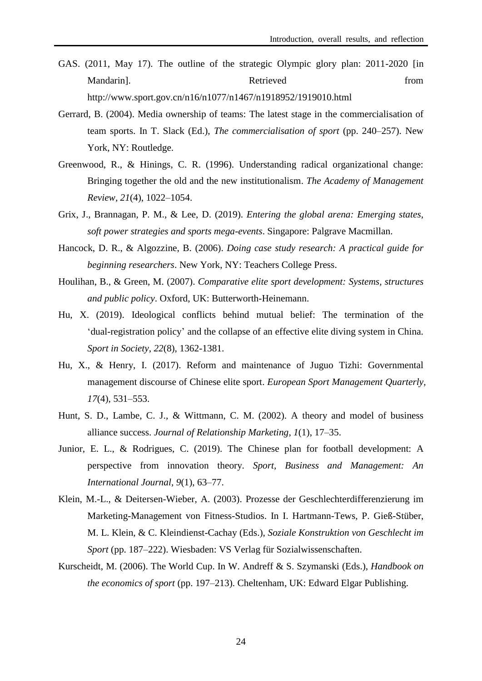- GAS. (2011, May 17). The outline of the strategic Olympic glory plan: 2011-2020 [in Mandarin]. Retrieved from http://www.sport.gov.cn/n16/n1077/n1467/n1918952/1919010.html
- Gerrard, B. (2004). Media ownership of teams: The latest stage in the commercialisation of team sports. In T. Slack (Ed.), *The commercialisation of sport* (pp. 240–257). New York, NY: Routledge.
- Greenwood, R., & Hinings, C. R. (1996). Understanding radical organizational change: Bringing together the old and the new institutionalism. *The Academy of Management Review, 21*(4), 1022–1054.
- Grix, J., Brannagan, P. M., & Lee, D. (2019). *Entering the global arena: Emerging states, soft power strategies and sports mega-events*. Singapore: Palgrave Macmillan.
- Hancock, D. R., & Algozzine, B. (2006). *Doing case study research: A practical guide for beginning researchers*. New York, NY: Teachers College Press.
- Houlihan, B., & Green, M. (2007). *Comparative elite sport development: Systems, structures and public policy*. Oxford, UK: Butterworth-Heinemann.
- Hu, X. (2019). Ideological conflicts behind mutual belief: The termination of the 'dual-registration policy' and the collapse of an effective elite diving system in China. *Sport in Society*, *22*(8), 1362-1381.
- Hu, X., & Henry, I. (2017). Reform and maintenance of Juguo Tizhi: Governmental management discourse of Chinese elite sport. *European Sport Management Quarterly, 17*(4), 531–553.
- Hunt, S. D., Lambe, C. J., & Wittmann, C. M. (2002). A theory and model of business alliance success. *Journal of Relationship Marketing, 1*(1), 17–35.
- Junior, E. L., & Rodrigues, C. (2019). The Chinese plan for football development: A perspective from innovation theory. *Sport, Business and Management: An International Journal, 9*(1), 63–77.
- Klein, M.-L., & Deitersen-Wieber, A. (2003). Prozesse der Geschlechterdifferenzierung im Marketing-Management von Fitness-Studios. In I. Hartmann-Tews, P. Gieß-Stüber, M. L. Klein, & C. Kleindienst-Cachay (Eds.), *Soziale Konstruktion von Geschlecht im Sport* (pp. 187–222). Wiesbaden: VS Verlag für Sozialwissenschaften.
- Kurscheidt, M. (2006). The World Cup. In W. Andreff & S. Szymanski (Eds.), *Handbook on the economics of sport* (pp. 197–213). Cheltenham, UK: Edward Elgar Publishing.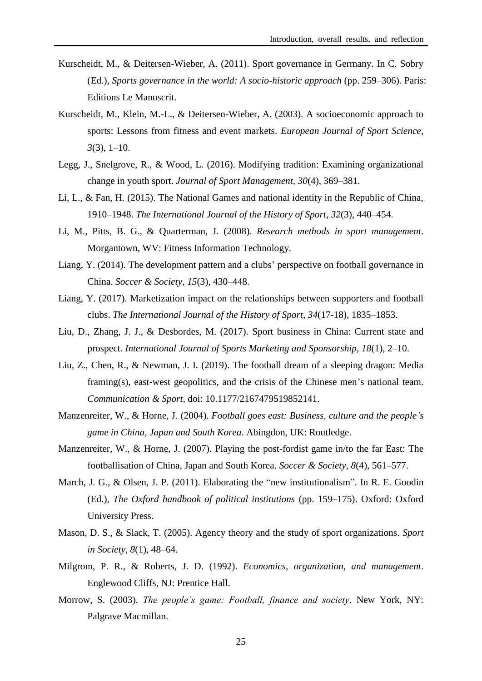- Kurscheidt, M., & Deitersen-Wieber, A. (2011). Sport governance in Germany. In C. Sobry (Ed.), *Sports governance in the world: A socio-historic approach* (pp. 259–306). Paris: Editions Le Manuscrit.
- Kurscheidt, M., Klein, M.-L., & Deitersen-Wieber, A. (2003). A socioeconomic approach to sports: Lessons from fitness and event markets. *European Journal of Sport Science, 3*(3), 1–10.
- Legg, J., Snelgrove, R., & Wood, L. (2016). Modifying tradition: Examining organizational change in youth sport. *Journal of Sport Management, 30*(4), 369–381.
- Li, L., & Fan, H. (2015). The National Games and national identity in the Republic of China, 1910–1948. *The International Journal of the History of Sport, 32*(3)*,* 440–454.
- Li, M., Pitts, B. G., & Quarterman, J. (2008). *Research methods in sport management*. Morgantown, WV: Fitness Information Technology.
- Liang, Y. (2014). The development pattern and a clubs' perspective on football governance in China. *Soccer & Society, 15*(3)*,* 430–448.
- Liang, Y. (2017). Marketization impact on the relationships between supporters and football clubs. *The International Journal of the History of Sport, 34*(17-18)*,* 1835–1853.
- Liu, D., Zhang, J. J., & Desbordes, M. (2017). Sport business in China: Current state and prospect. *International Journal of Sports Marketing and Sponsorship, 18*(1), 2–10.
- Liu, Z., Chen, R., & Newman, J. I. (2019). The football dream of a sleeping dragon: Media framing(s), east-west geopolitics, and the crisis of the Chinese men's national team. *Communication & Sport,* doi: 10.1177/2167479519852141.
- Manzenreiter, W., & Horne, J. (2004). *Football goes east: Business, culture and the people's game in China, Japan and South Korea*. Abingdon, UK: Routledge.
- Manzenreiter, W., & Horne, J. (2007). Playing the post-fordist game in/to the far East: The footballisation of China, Japan and South Korea. *Soccer & Society, 8*(4), 561–577.
- March, J. G., & Olsen, J. P. (2011). Elaborating the "new institutionalism". In R. E. Goodin (Ed.), *The Oxford handbook of political institutions* (pp. 159–175). Oxford: Oxford University Press.
- Mason, D. S., & Slack, T. (2005). Agency theory and the study of sport organizations. *Sport in Society, 8*(1), 48–64.
- Milgrom, P. R., & Roberts, J. D. (1992). *Economics, organization, and management*. Englewood Cliffs, NJ: Prentice Hall.
- Morrow, S. (2003). *The people's game: Football, finance and society*. New York, NY: Palgrave Macmillan.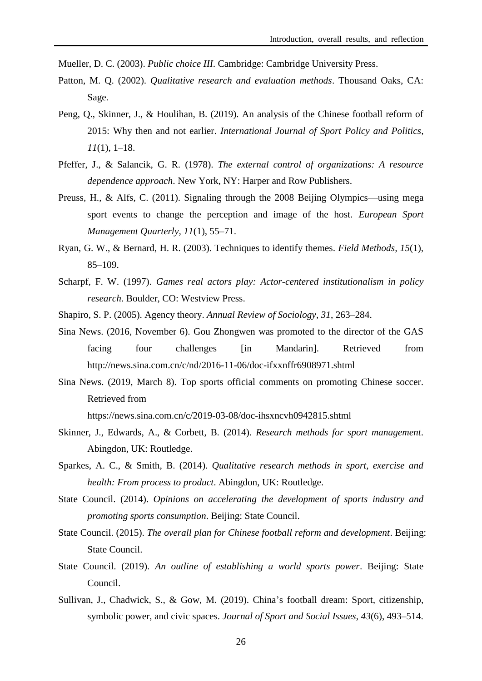Mueller, D. C. (2003). *Public choice III*. Cambridge: Cambridge University Press.

- Patton, M. Q. (2002). *Qualitative research and evaluation methods*. Thousand Oaks, CA: Sage.
- Peng, Q., Skinner, J., & Houlihan, B. (2019). An analysis of the Chinese football reform of 2015: Why then and not earlier. *International Journal of Sport Policy and Politics, 11*(1), 1–18.
- Pfeffer, J., & Salancik, G. R. (1978). *The external control of organizations: A resource dependence approach*. New York, NY: Harper and Row Publishers.
- Preuss, H., & Alfs, C. (2011). Signaling through the 2008 Beijing Olympics—using mega sport events to change the perception and image of the host. *European Sport Management Quarterly, 11*(1), 55–71.
- Ryan, G. W., & Bernard, H. R. (2003). Techniques to identify themes. *Field Methods, 15*(1), 85–109.
- Scharpf, F. W. (1997). *Games real actors play: Actor-centered institutionalism in policy research*. Boulder, CO: Westview Press.
- Shapiro, S. P. (2005). Agency theory. *Annual Review of Sociology, 31*, 263–284.
- Sina News. (2016, November 6). Gou Zhongwen was promoted to the director of the GAS facing four challenges [in Mandarin]. Retrieved from <http://news.sina.com.cn/c/nd/2016-11-06/doc-ifxxnffr6908971.shtml>
- Sina News. (2019, March 8). Top sports official comments on promoting Chinese soccer. Retrieved from

https://news.sina.com.cn/c/2019-03-08/doc-ihsxncvh0942815.shtml

- Skinner, J., Edwards, A., & Corbett, B. (2014). *Research methods for sport management*. Abingdon, UK: Routledge.
- Sparkes, A. C., & Smith, B. (2014). *Qualitative research methods in sport, exercise and health: From process to product*. Abingdon, UK: Routledge.
- State Council. (2014). *Opinions on accelerating the development of sports industry and promoting sports consumption*. Beijing: State Council.
- State Council. (2015). *The overall plan for Chinese football reform and development*. Beijing: State Council.
- State Council. (2019). *An outline of establishing a world sports power*. Beijing: State Council.
- Sullivan, J., Chadwick, S., & Gow, M. (2019). China's football dream: Sport, citizenship, symbolic power, and civic spaces. *Journal of Sport and Social Issues*, *43*(6), 493–514.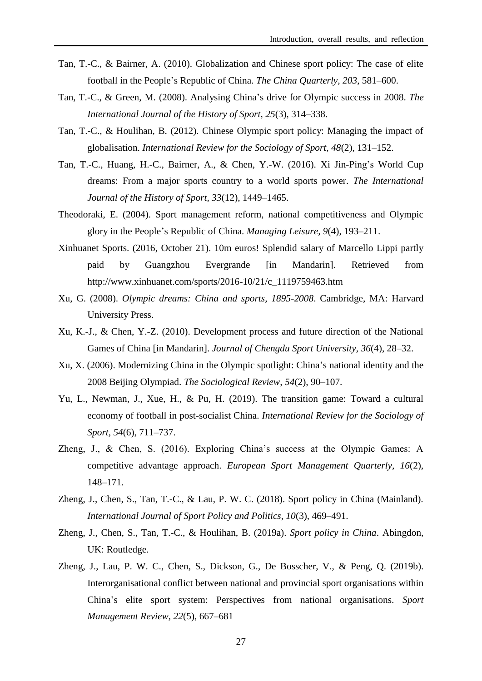- Tan, T.-C., & Bairner, A. (2010). Globalization and Chinese sport policy: The case of elite football in the People's Republic of China. *The China Quarterly, 203*, 581–600.
- Tan, T.-C., & Green, M. (2008). Analysing China's drive for Olympic success in 2008. *The International Journal of the History of Sport, 25*(3), 314–338.
- Tan, T.-C., & Houlihan, B. (2012). Chinese Olympic sport policy: Managing the impact of globalisation. *International Review for the Sociology of Sport, 48*(2), 131–152.
- Tan, T.-C., Huang, H.-C., Bairner, A., & Chen, Y.-W. (2016). Xi Jin-Ping's World Cup dreams: From a major sports country to a world sports power. *The International Journal of the History of Sport, 33*(12), 1449–1465.
- Theodoraki, E. (2004). Sport management reform, national competitiveness and Olympic glory in the People's Republic of China. *Managing Leisure, 9*(4), 193–211.
- Xinhuanet Sports. (2016, October 21). 10m euros! Splendid salary of Marcello Lippi partly paid by Guangzhou Evergrande [in Mandarin]. Retrieved from http://www.xinhuanet.com/sports/2016-10/21/c\_1119759463.htm
- Xu, G. (2008). *Olympic dreams: China and sports, 1895-2008*. Cambridge, MA: Harvard University Press.
- Xu, K.-J., & Chen, Y.-Z. (2010). Development process and future direction of the National Games of China [in Mandarin]. *Journal of Chengdu Sport University, 36*(4), 28–32.
- Xu, X. (2006). Modernizing China in the Olympic spotlight: China's national identity and the 2008 Beijing Olympiad. *The Sociological Review, 54*(2), 90–107.
- Yu, L., Newman, J., Xue, H., & Pu, H. (2019). The transition game: Toward a cultural economy of football in post-socialist China. *International Review for the Sociology of Sport, 54*(6), 711–737.
- Zheng, J., & Chen, S. (2016). Exploring China's success at the Olympic Games: A competitive advantage approach. *European Sport Management Quarterly, 16*(2), 148–171.
- Zheng, J., Chen, S., Tan, T.-C., & Lau, P. W. C. (2018). Sport policy in China (Mainland). *International Journal of Sport Policy and Politics, 10*(3), 469–491.
- Zheng, J., Chen, S., Tan, T.-C., & Houlihan, B. (2019a). *Sport policy in China*. Abingdon, UK: Routledge.
- Zheng, J., Lau, P. W. C., Chen, S., Dickson, G., De Bosscher, V., & Peng, Q. (2019b). Interorganisational conflict between national and provincial sport organisations within China's elite sport system: Perspectives from national organisations. *Sport Management Review, 22*(5), 667–681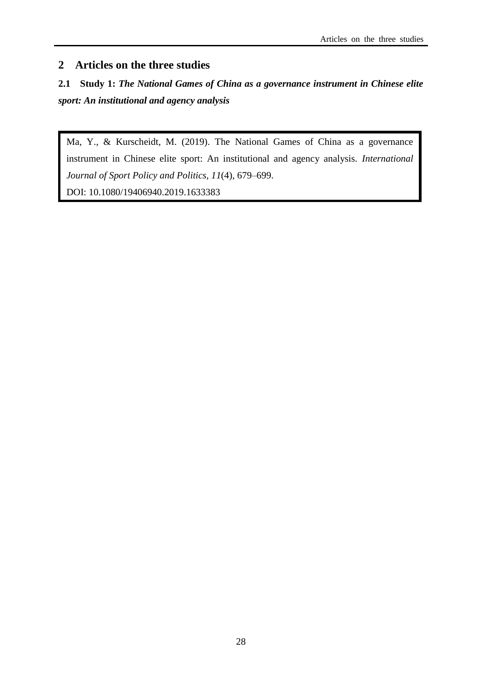# **2 Articles on the three studies**

# **2.1 Study 1:** *The National Games of China as a governance instrument in Chinese elite sport: An institutional and agency analysis*

Ma, Y., & Kurscheidt, M. (2019). The National Games of China as a governance instrument in Chinese elite sport: An institutional and agency analysis. *International Journal of Sport Policy and Politics, 11*(4), 679–699. DOI: 10.1080/19406940.2019.1633383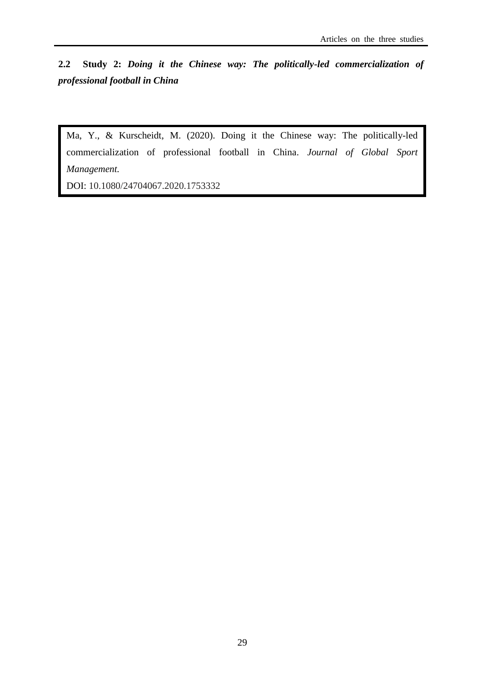**2.2 Study 2:** *Doing it the Chinese way: The politically-led commercialization of professional football in China*

Ma, Y., & Kurscheidt, M. (2020). Doing it the Chinese way: The politically-led commercialization of professional football in China. *Journal of Global Sport Management.*

[DOI:](DOI) 10.1080/24704067.2020.1753332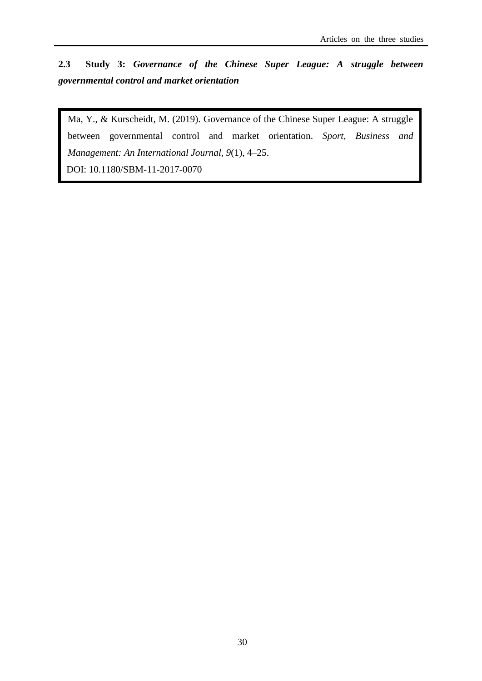**2.3 Study 3:** *Governance of the Chinese Super League: A struggle between governmental control and market orientation*

Ma, Y., & Kurscheidt, M. (2019). Governance of the Chinese Super League: A struggle between governmental control and market orientation. *Sport, Business and Management: An International Journal, 9*(1), 4–25.

DOI: 10.1180/SBM-11-2017-0070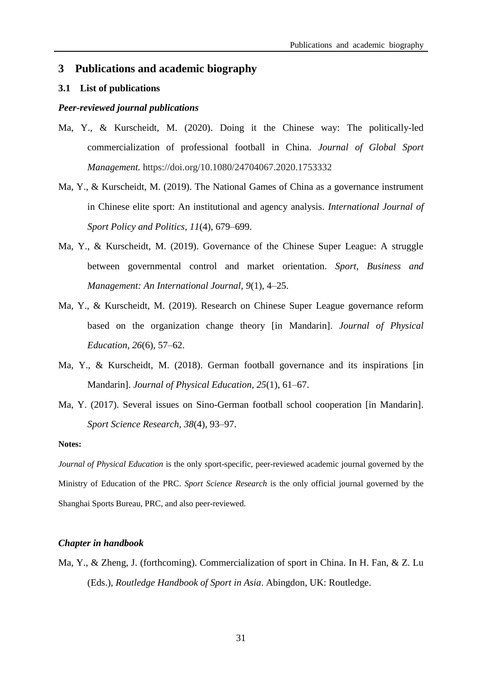# **3 Publications and academic biography**

# **3.1 List of publications**

# *Peer-reviewed journal publications*

- Ma, Y., & Kurscheidt, M. (2020). Doing it the Chinese way: The politically-led commercialization of professional football in China. *Journal of Global Sport Management.* https://doi.org/10.1080/24704067.2020.1753332
- Ma, Y., & Kurscheidt, M. (2019). The National Games of China as a governance instrument in Chinese elite sport: An institutional and agency analysis. *International Journal of Sport Policy and Politics, 11*(4), 679–699.
- Ma, Y., & Kurscheidt, M. (2019). Governance of the Chinese Super League: A struggle between governmental control and market orientation. *Sport, Business and Management: An International Journal, 9*(1), 4–25.
- Ma, Y., & Kurscheidt, M. (2019). Research on Chinese Super League governance reform based on the organization change theory [in Mandarin]. *Journal of Physical Education*, *26*(6), 57–62.
- Ma, Y., & Kurscheidt, M. (2018). German football governance and its inspirations [in Mandarin]. *Journal of Physical Education, 25*(1), 61–67.
- Ma, Y. (2017). Several issues on Sino-German football school cooperation [in Mandarin]. *Sport Science Research, 38*(4), 93–97.

#### **Notes:**

*Journal of Physical Education* is the only sport-specific, peer-reviewed academic journal governed by the Ministry of Education of the PRC. *Sport Science Research* is the only official journal governed by the Shanghai Sports Bureau, PRC, and also peer-reviewed.

# *Chapter in handbook*

Ma, Y., & Zheng, J. (forthcoming). Commercialization of sport in China. In H. Fan, & Z. Lu (Eds.), *Routledge Handbook of Sport in Asia*. Abingdon, UK: Routledge.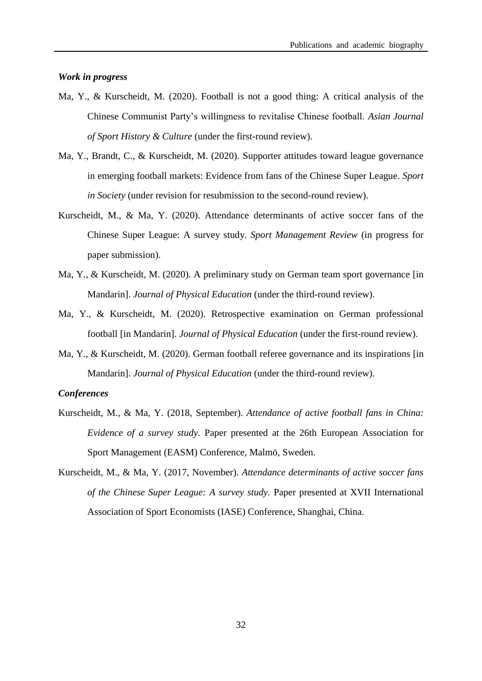# *Work in progress*

- Ma, Y., & Kurscheidt, M. (2020). Football is not a good thing: A critical analysis of the Chinese Communist Party's willingness to revitalise Chinese football. *Asian Journal of Sport History & Culture* (under the first-round review).
- Ma, Y., Brandt, C., & Kurscheidt, M. (2020). Supporter attitudes toward league governance in emerging football markets: Evidence from fans of the Chinese Super League. *Sport in Society* (under revision for resubmission to the second-round review).
- Kurscheidt, M., & Ma, Y. (2020). Attendance determinants of active soccer fans of the Chinese Super League: A survey study. *Sport Management Review* (in progress for paper submission).
- Ma, Y., & Kurscheidt, M. (2020). A preliminary study on German team sport governance [in Mandarin]. *Journal of Physical Education* (under the third-round review).
- Ma, Y., & Kurscheidt, M. (2020). Retrospective examination on German professional football [in Mandarin]. *Journal of Physical Education* (under the first-round review).
- Ma, Y., & Kurscheidt, M. (2020). German football referee governance and its inspirations [in Mandarin]. *Journal of Physical Education* (under the third-round review).

# *Conferences*

- Kurscheidt, M., & Ma, Y. (2018, September). *Attendance of active football fans in China: Evidence of a survey study.* Paper presented at the 26th European Association for Sport Management (EASM) Conference, Malmö, Sweden.
- Kurscheidt, M., & Ma, Y. (2017, November). *Attendance determinants of active soccer fans of the Chinese Super League: A survey study.* Paper presented at XVII International Association of Sport Economists (IASE) Conference, Shanghai, China.